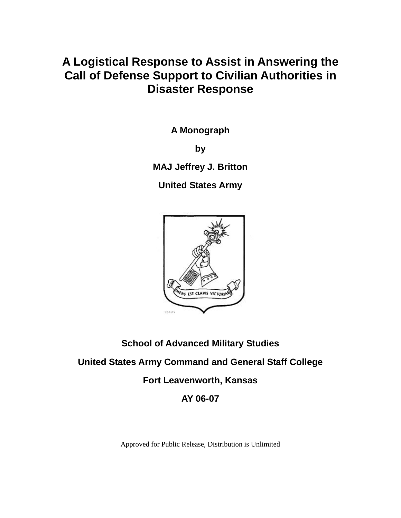# **A Logistical Response to Assist in Answering the Call of Defense Support to Civilian Authorities in Disaster Response**

**A Monograph** 

**by** 

**MAJ Jeffrey J. Britton** 

**United States Army** 



## **School of Advanced Military Studies**

## **United States Army Command and General Staff College**

**Fort Leavenworth, Kansas** 

**AY 06-07** 

Approved for Public Release, Distribution is Unlimited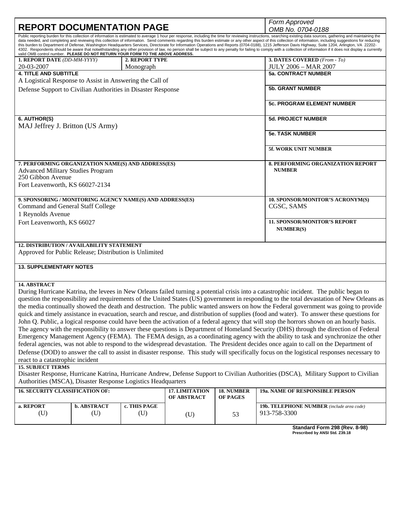|                                                                                                                                                                                                                                                                                                                                                                                                                                                                                                                                                                                                                                                                                                                                                                                                                                                                                                                                                                 |                    |                       |                               |                        | Form Approved                                                                                                                                                                                                                                                                                                                                                                                                                                                                                                                                                                                                                                                                                                                                                                                                                                                                                                                                                                                                                                                                                                                                                                                                                                                                                                                                                                                                                             |
|-----------------------------------------------------------------------------------------------------------------------------------------------------------------------------------------------------------------------------------------------------------------------------------------------------------------------------------------------------------------------------------------------------------------------------------------------------------------------------------------------------------------------------------------------------------------------------------------------------------------------------------------------------------------------------------------------------------------------------------------------------------------------------------------------------------------------------------------------------------------------------------------------------------------------------------------------------------------|--------------------|-----------------------|-------------------------------|------------------------|-------------------------------------------------------------------------------------------------------------------------------------------------------------------------------------------------------------------------------------------------------------------------------------------------------------------------------------------------------------------------------------------------------------------------------------------------------------------------------------------------------------------------------------------------------------------------------------------------------------------------------------------------------------------------------------------------------------------------------------------------------------------------------------------------------------------------------------------------------------------------------------------------------------------------------------------------------------------------------------------------------------------------------------------------------------------------------------------------------------------------------------------------------------------------------------------------------------------------------------------------------------------------------------------------------------------------------------------------------------------------------------------------------------------------------------------|
| <b>REPORT DOCUMENTATION PAGE</b>                                                                                                                                                                                                                                                                                                                                                                                                                                                                                                                                                                                                                                                                                                                                                                                                                                                                                                                                |                    |                       |                               |                        | OMB No. 0704-0188                                                                                                                                                                                                                                                                                                                                                                                                                                                                                                                                                                                                                                                                                                                                                                                                                                                                                                                                                                                                                                                                                                                                                                                                                                                                                                                                                                                                                         |
| Public reporting burden for this collection of information is estimated to average 1 hour per response, including the time for reviewing instructions, searching existing data sources, gathering and maintaining the<br>data needed, and completing and reviewing this collection of information. Send comments regarding this burden estimate or any other aspect of this collection of information, including suggestions for reducing<br>this burden to Department of Defense, Washington Headquarters Services, Directorate for Information Operations and Reports (0704-0188), 1215 Jefferson Davis Highway, Suite 1204, Arlington, VA 22202-<br>4302. Respondents should be aware that notwithstanding any other provision of law, no person shall be subject to any penalty for failing to comply with a collection of information if it does not display a currently<br>valid OMB control number. PLEASE DO NOT RETURN YOUR FORM TO THE ABOVE ADDRESS. |                    |                       |                               |                        |                                                                                                                                                                                                                                                                                                                                                                                                                                                                                                                                                                                                                                                                                                                                                                                                                                                                                                                                                                                                                                                                                                                                                                                                                                                                                                                                                                                                                                           |
| <b>1. REPORT DATE (DD-MM-YYYY)</b>                                                                                                                                                                                                                                                                                                                                                                                                                                                                                                                                                                                                                                                                                                                                                                                                                                                                                                                              |                    | <b>2. REPORT TYPE</b> |                               |                        | 3. DATES COVERED (From - To)                                                                                                                                                                                                                                                                                                                                                                                                                                                                                                                                                                                                                                                                                                                                                                                                                                                                                                                                                                                                                                                                                                                                                                                                                                                                                                                                                                                                              |
| 20-03-2007                                                                                                                                                                                                                                                                                                                                                                                                                                                                                                                                                                                                                                                                                                                                                                                                                                                                                                                                                      |                    | Monograph             |                               |                        | <b>JULY 2006 - MAR 2007</b>                                                                                                                                                                                                                                                                                                                                                                                                                                                                                                                                                                                                                                                                                                                                                                                                                                                                                                                                                                                                                                                                                                                                                                                                                                                                                                                                                                                                               |
| <b>4. TITLE AND SUBTITLE</b><br>A Logistical Response to Assist in Answering the Call of                                                                                                                                                                                                                                                                                                                                                                                                                                                                                                                                                                                                                                                                                                                                                                                                                                                                        |                    |                       |                               |                        | <b>5a. CONTRACT NUMBER</b>                                                                                                                                                                                                                                                                                                                                                                                                                                                                                                                                                                                                                                                                                                                                                                                                                                                                                                                                                                                                                                                                                                                                                                                                                                                                                                                                                                                                                |
| Defense Support to Civilian Authorities in Disaster Response                                                                                                                                                                                                                                                                                                                                                                                                                                                                                                                                                                                                                                                                                                                                                                                                                                                                                                    |                    |                       |                               |                        | <b>5b. GRANT NUMBER</b>                                                                                                                                                                                                                                                                                                                                                                                                                                                                                                                                                                                                                                                                                                                                                                                                                                                                                                                                                                                                                                                                                                                                                                                                                                                                                                                                                                                                                   |
|                                                                                                                                                                                                                                                                                                                                                                                                                                                                                                                                                                                                                                                                                                                                                                                                                                                                                                                                                                 |                    |                       |                               |                        | <b>5c. PROGRAM ELEMENT NUMBER</b>                                                                                                                                                                                                                                                                                                                                                                                                                                                                                                                                                                                                                                                                                                                                                                                                                                                                                                                                                                                                                                                                                                                                                                                                                                                                                                                                                                                                         |
| 6. AUTHOR(S)<br>MAJ Jeffrey J. Britton (US Army)                                                                                                                                                                                                                                                                                                                                                                                                                                                                                                                                                                                                                                                                                                                                                                                                                                                                                                                |                    |                       |                               |                        | <b>5d. PROJECT NUMBER</b>                                                                                                                                                                                                                                                                                                                                                                                                                                                                                                                                                                                                                                                                                                                                                                                                                                                                                                                                                                                                                                                                                                                                                                                                                                                                                                                                                                                                                 |
|                                                                                                                                                                                                                                                                                                                                                                                                                                                                                                                                                                                                                                                                                                                                                                                                                                                                                                                                                                 |                    |                       |                               |                        | <b>5e. TASK NUMBER</b>                                                                                                                                                                                                                                                                                                                                                                                                                                                                                                                                                                                                                                                                                                                                                                                                                                                                                                                                                                                                                                                                                                                                                                                                                                                                                                                                                                                                                    |
|                                                                                                                                                                                                                                                                                                                                                                                                                                                                                                                                                                                                                                                                                                                                                                                                                                                                                                                                                                 |                    |                       |                               |                        | <b>5f. WORK UNIT NUMBER</b>                                                                                                                                                                                                                                                                                                                                                                                                                                                                                                                                                                                                                                                                                                                                                                                                                                                                                                                                                                                                                                                                                                                                                                                                                                                                                                                                                                                                               |
| 7. PERFORMING ORGANIZATION NAME(S) AND ADDRESS(ES)<br><b>Advanced Military Studies Program</b><br>250 Gibbon Avenue                                                                                                                                                                                                                                                                                                                                                                                                                                                                                                                                                                                                                                                                                                                                                                                                                                             |                    |                       |                               |                        | 8. PERFORMING ORGANIZATION REPORT<br><b>NUMBER</b>                                                                                                                                                                                                                                                                                                                                                                                                                                                                                                                                                                                                                                                                                                                                                                                                                                                                                                                                                                                                                                                                                                                                                                                                                                                                                                                                                                                        |
| Fort Leavenworth, KS 66027-2134                                                                                                                                                                                                                                                                                                                                                                                                                                                                                                                                                                                                                                                                                                                                                                                                                                                                                                                                 |                    |                       |                               |                        |                                                                                                                                                                                                                                                                                                                                                                                                                                                                                                                                                                                                                                                                                                                                                                                                                                                                                                                                                                                                                                                                                                                                                                                                                                                                                                                                                                                                                                           |
| 9. SPONSORING / MONITORING AGENCY NAME(S) AND ADDRESS(ES)                                                                                                                                                                                                                                                                                                                                                                                                                                                                                                                                                                                                                                                                                                                                                                                                                                                                                                       |                    |                       |                               |                        | 10. SPONSOR/MONITOR'S ACRONYM(S)                                                                                                                                                                                                                                                                                                                                                                                                                                                                                                                                                                                                                                                                                                                                                                                                                                                                                                                                                                                                                                                                                                                                                                                                                                                                                                                                                                                                          |
| Command and General Staff College                                                                                                                                                                                                                                                                                                                                                                                                                                                                                                                                                                                                                                                                                                                                                                                                                                                                                                                               |                    |                       |                               |                        | CGSC, SAMS                                                                                                                                                                                                                                                                                                                                                                                                                                                                                                                                                                                                                                                                                                                                                                                                                                                                                                                                                                                                                                                                                                                                                                                                                                                                                                                                                                                                                                |
| 1 Reynolds Avenue                                                                                                                                                                                                                                                                                                                                                                                                                                                                                                                                                                                                                                                                                                                                                                                                                                                                                                                                               |                    |                       |                               |                        |                                                                                                                                                                                                                                                                                                                                                                                                                                                                                                                                                                                                                                                                                                                                                                                                                                                                                                                                                                                                                                                                                                                                                                                                                                                                                                                                                                                                                                           |
| Fort Leavenworth, KS 66027                                                                                                                                                                                                                                                                                                                                                                                                                                                                                                                                                                                                                                                                                                                                                                                                                                                                                                                                      |                    |                       |                               |                        | <b>11. SPONSOR/MONITOR'S REPORT</b><br><b>NUMBER(S)</b>                                                                                                                                                                                                                                                                                                                                                                                                                                                                                                                                                                                                                                                                                                                                                                                                                                                                                                                                                                                                                                                                                                                                                                                                                                                                                                                                                                                   |
|                                                                                                                                                                                                                                                                                                                                                                                                                                                                                                                                                                                                                                                                                                                                                                                                                                                                                                                                                                 |                    |                       |                               |                        |                                                                                                                                                                                                                                                                                                                                                                                                                                                                                                                                                                                                                                                                                                                                                                                                                                                                                                                                                                                                                                                                                                                                                                                                                                                                                                                                                                                                                                           |
| <b>12. DISTRIBUTION / AVAILABILITY STATEMENT</b><br>Approved for Public Release; Distribution is Unlimited                                                                                                                                                                                                                                                                                                                                                                                                                                                                                                                                                                                                                                                                                                                                                                                                                                                      |                    |                       |                               |                        |                                                                                                                                                                                                                                                                                                                                                                                                                                                                                                                                                                                                                                                                                                                                                                                                                                                                                                                                                                                                                                                                                                                                                                                                                                                                                                                                                                                                                                           |
| <b>13. SUPPLEMENTARY NOTES</b>                                                                                                                                                                                                                                                                                                                                                                                                                                                                                                                                                                                                                                                                                                                                                                                                                                                                                                                                  |                    |                       |                               |                        |                                                                                                                                                                                                                                                                                                                                                                                                                                                                                                                                                                                                                                                                                                                                                                                                                                                                                                                                                                                                                                                                                                                                                                                                                                                                                                                                                                                                                                           |
| 14. ABSTRACT<br>react to a catastrophic incident<br><b>15. SUBJECT TERMS</b><br>Authorities (MSCA), Disaster Response Logistics Headquarters                                                                                                                                                                                                                                                                                                                                                                                                                                                                                                                                                                                                                                                                                                                                                                                                                    |                    |                       |                               |                        | During Hurricane Katrina, the levees in New Orleans failed turning a potential crisis into a catastrophic incident. The public began to<br>question the responsibility and requirements of the United States (US) government in responding to the total devastation of New Orleans as<br>the media continually showed the death and destruction. The public wanted answers on how the Federal government was going to provide<br>quick and timely assistance in evacuation, search and rescue, and distribution of supplies (food and water). To answer these questions for<br>John Q. Public, a logical response could have been the activation of a federal agency that will stop the horrors shown on an hourly basis.<br>The agency with the responsibility to answer these questions is Department of Homeland Security (DHS) through the direction of Federal<br>Emergency Management Agency (FEMA). The FEMA design, as a coordinating agency with the ability to task and synchronize the other<br>federal agencies, was not able to respond to the widespread devastation. The President decides once again to call on the Department of<br>Defense (DOD) to answer the call to assist in disaster response. This study will specifically focus on the logistical responses necessary to<br>Disaster Response, Hurricane Katrina, Hurricane Andrew, Defense Support to Civilian Authorities (DSCA), Military Support to Civilian |
| <b>16. SECURITY CLASSIFICATION OF:</b><br>a. REPORT                                                                                                                                                                                                                                                                                                                                                                                                                                                                                                                                                                                                                                                                                                                                                                                                                                                                                                             | <b>b. ABSTRACT</b> | c. THIS PAGE          | 17. LIMITATION<br>OF ABSTRACT | 18. NUMBER<br>OF PAGES | <b>19a. NAME OF RESPONSIBLE PERSON</b><br>19b. TELEPHONE NUMBER (include area code)                                                                                                                                                                                                                                                                                                                                                                                                                                                                                                                                                                                                                                                                                                                                                                                                                                                                                                                                                                                                                                                                                                                                                                                                                                                                                                                                                       |

| Standard Form 298 (Rev. 8-98)  |  |  |
|--------------------------------|--|--|
| Prescribed by ANSI Std. Z39.18 |  |  |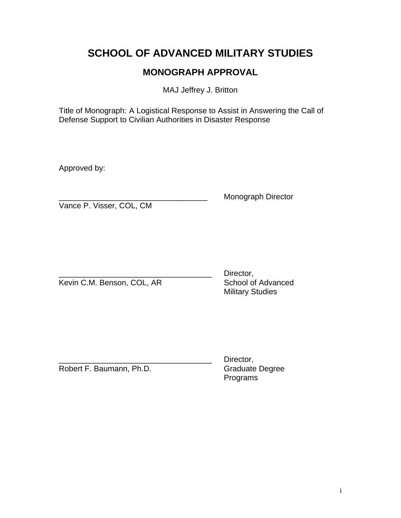# **SCHOOL OF ADVANCED MILITARY STUDIES**

## **MONOGRAPH APPROVAL**

MAJ Jeffrey J. Britton

Title of Monograph: A Logistical Response to Assist in Answering the Call of Defense Support to Civilian Authorities in Disaster Response

Approved by:

Monograph Director

Vance P. Visser, COL, CM

Kevin C.M. Benson, COL, AR School of Advanced

Director, Military Studies

Robert F. Baumann, Ph.D.

Director,<br>Graduate Degree Programs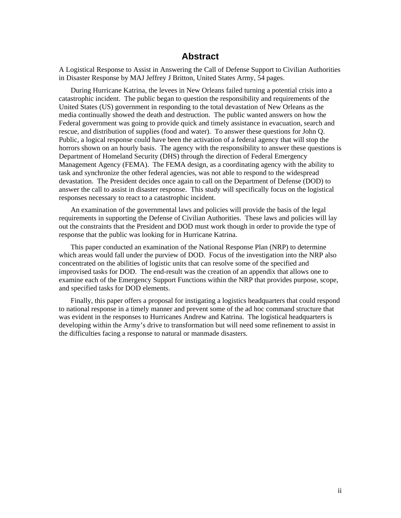### **Abstract**

A Logistical Response to Assist in Answering the Call of Defense Support to Civilian Authorities in Disaster Response by MAJ Jeffrey J Britton, United States Army, 54 pages.

During Hurricane Katrina, the levees in New Orleans failed turning a potential crisis into a catastrophic incident. The public began to question the responsibility and requirements of the United States (US) government in responding to the total devastation of New Orleans as the media continually showed the death and destruction. The public wanted answers on how the Federal government was going to provide quick and timely assistance in evacuation, search and rescue, and distribution of supplies (food and water). To answer these questions for John Q. Public, a logical response could have been the activation of a federal agency that will stop the horrors shown on an hourly basis. The agency with the responsibility to answer these questions is Department of Homeland Security (DHS) through the direction of Federal Emergency Management Agency (FEMA). The FEMA design, as a coordinating agency with the ability to task and synchronize the other federal agencies, was not able to respond to the widespread devastation. The President decides once again to call on the Department of Defense (DOD) to answer the call to assist in disaster response. This study will specifically focus on the logistical responses necessary to react to a catastrophic incident.

An examination of the governmental laws and policies will provide the basis of the legal requirements in supporting the Defense of Civilian Authorities. These laws and policies will lay out the constraints that the President and DOD must work though in order to provide the type of response that the public was looking for in Hurricane Katrina.

This paper conducted an examination of the National Response Plan (NRP) to determine which areas would fall under the purview of DOD. Focus of the investigation into the NRP also concentrated on the abilities of logistic units that can resolve some of the specified and improvised tasks for DOD. The end-result was the creation of an appendix that allows one to examine each of the Emergency Support Functions within the NRP that provides purpose, scope, and specified tasks for DOD elements.

Finally, this paper offers a proposal for instigating a logistics headquarters that could respond to national response in a timely manner and prevent some of the ad hoc command structure that was evident in the responses to Hurricanes Andrew and Katrina. The logistical headquarters is developing within the Army's drive to transformation but will need some refinement to assist in the difficulties facing a response to natural or manmade disasters.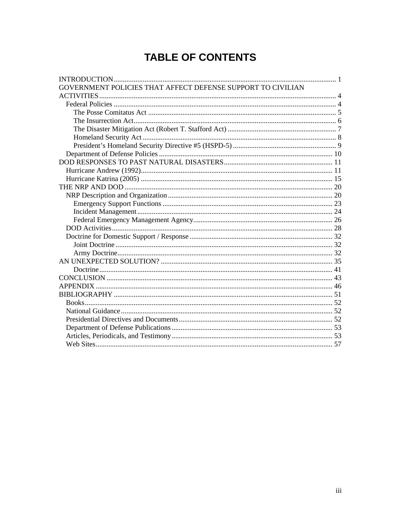# **TABLE OF CONTENTS**

| GOVERNMENT POLICIES THAT AFFECT DEFENSE SUPPORT TO CIVILIAN |  |
|-------------------------------------------------------------|--|
|                                                             |  |
|                                                             |  |
|                                                             |  |
|                                                             |  |
|                                                             |  |
|                                                             |  |
|                                                             |  |
|                                                             |  |
|                                                             |  |
|                                                             |  |
|                                                             |  |
|                                                             |  |
|                                                             |  |
|                                                             |  |
|                                                             |  |
|                                                             |  |
|                                                             |  |
|                                                             |  |
|                                                             |  |
|                                                             |  |
|                                                             |  |
|                                                             |  |
|                                                             |  |
|                                                             |  |
|                                                             |  |
|                                                             |  |
|                                                             |  |
|                                                             |  |
|                                                             |  |
|                                                             |  |
|                                                             |  |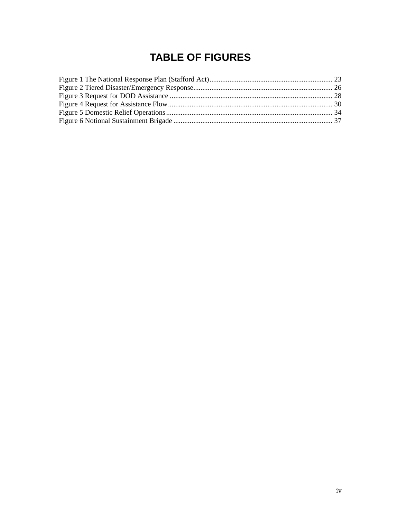# **TABLE OF FIGURES**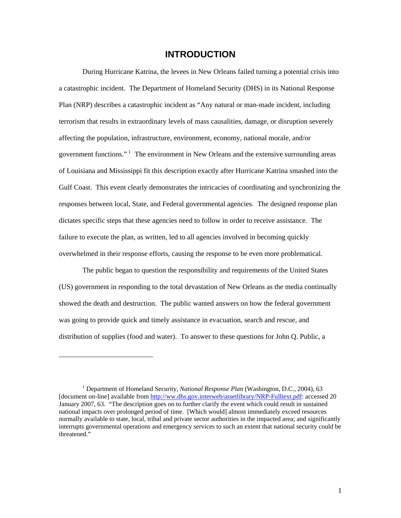### **INTRODUCTION**

<span id="page-6-0"></span>During Hurricane Katrina, the levees in New Orleans failed turning a potential crisis into a catastrophic incident. The Department of Homeland Security (DHS) in its National Response Plan (NRP) describes a catastrophic incident as "Any natural or man-made incident, including terrorism that results in extraordinary levels of mass causalities, damage, or disruption severely affecting the population, infrastructure, environment, economy, national morale, and/or government functions."<sup>[1](#page-6-1)</sup> The environment in New Orleans and the extensive surrounding areas of Louisiana and Mississippi fit this description exactly after Hurricane Katrina smashed into the Gulf Coast. This event clearly demonstrates the intricacies of coordinating and synchronizing the responses between local, State, and Federal governmental agencies. The designed response plan dictates specific steps that these agencies need to follow in order to receive assistance. The failure to execute the plan, as written, led to all agencies involved in becoming quickly overwhelmed in their response efforts, causing the response to be even more problematical.

The public began to question the responsibility and requirements of the United States (US) government in responding to the total devastation of New Orleans as the media continually showed the death and destruction. The public wanted answers on how the federal government was going to provide quick and timely assistance in evacuation, search and rescue, and distribution of supplies (food and water). To answer to these questions for John Q. Public, a

l

<span id="page-6-1"></span><sup>&</sup>lt;sup>1</sup> Department of Homeland Security, *National Response Plan* (Washington, D.C., 2004), 63 [document on-line] available from <http://ww.dhs.gov.interweb/assetlibrary/NRP-Fulltext.pdf>: accessed 20 January 2007, 63. "The description goes on to further clarify the event which could result in sustained national impacts over prolonged period of time. [Which would] almost immediately exceed resources normally available to state, local, tribal and private sector authorities in the impacted area; and significantly interrupts governmental operations and emergency services to such an extent that national security could be threatened."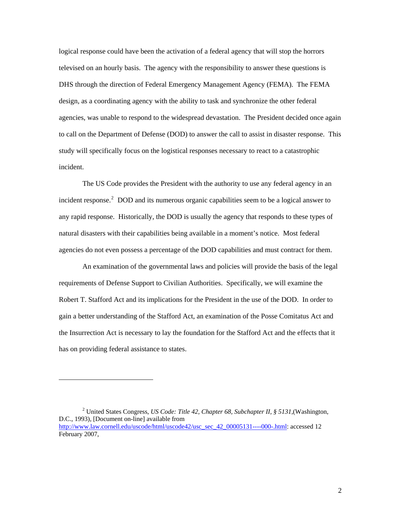logical response could have been the activation of a federal agency that will stop the horrors televised on an hourly basis. The agency with the responsibility to answer these questions is DHS through the direction of Federal Emergency Management Agency (FEMA). The FEMA design, as a coordinating agency with the ability to task and synchronize the other federal agencies, was unable to respond to the widespread devastation. The President decided once again to call on the Department of Defense (DOD) to answer the call to assist in disaster response. This study will specifically focus on the logistical responses necessary to react to a catastrophic incident.

The US Code provides the President with the authority to use any federal agency in an incident response. $2$  DOD and its numerous organic capabilities seem to be a logical answer to any rapid response. Historically, the DOD is usually the agency that responds to these types of natural disasters with their capabilities being available in a moment's notice. Most federal agencies do not even possess a percentage of the DOD capabilities and must contract for them.

An examination of the governmental laws and policies will provide the basis of the legal requirements of Defense Support to Civilian Authorities. Specifically, we will examine the Robert T. Stafford Act and its implications for the President in the use of the DOD. In order to gain a better understanding of the Stafford Act, an examination of the Posse Comitatus Act and the Insurrection Act is necessary to lay the foundation for the Stafford Act and the effects that it has on providing federal assistance to states.

<span id="page-7-0"></span><sup>2</sup> United States Congress, *US Code: Title 42, Chapter 68, Subchapter II, § 5131,*(Washington, D.C., 1993), [Document on-line] available from [http://www.law.cornell.edu/uscode/html/uscode42/usc\\_sec\\_42\\_00005131----000-.html](http://www.law.cornell.edu/uscode/html/uscode42/usc_sec_42_00005131----000-.html): accessed 12 February 2007,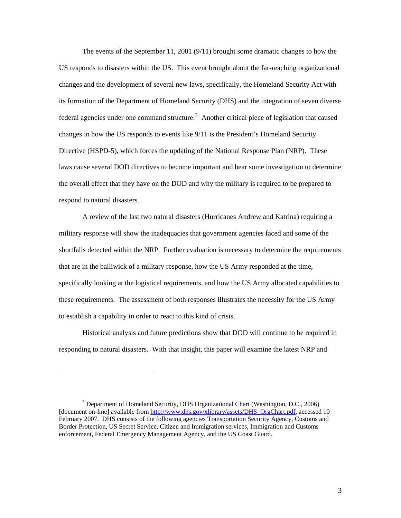The events of the September 11, 2001 (9/11) brought some dramatic changes to how the US responds to disasters within the US. This event brought about the far-reaching organizational changes and the development of several new laws, specifically, the Homeland Security Act with its formation of the Department of Homeland Security (DHS) and the integration of seven diverse federal agencies under one command structure.<sup>[3](#page-8-0)</sup> Another critical piece of legislation that caused changes in how the US responds to events like 9/11 is the President's Homeland Security Directive (HSPD-5), which forces the updating of the National Response Plan (NRP). These laws cause several DOD directives to become important and bear some investigation to determine the overall effect that they have on the DOD and why the military is required to be prepared to respond to natural disasters.

A review of the last two natural disasters (Hurricanes Andrew and Katrina) requiring a military response will show the inadequacies that government agencies faced and some of the shortfalls detected within the NRP. Further evaluation is necessary to determine the requirements that are in the bailiwick of a military response, how the US Army responded at the time, specifically looking at the logistical requirements, and how the US Army allocated capabilities to these requirements. The assessment of both responses illustrates the necessity for the US Army to establish a capability in order to react to this kind of crisis.

Historical analysis and future predictions show that DOD will continue to be required in responding to natural disasters. With that insight, this paper will examine the latest NRP and

<span id="page-8-0"></span><sup>&</sup>lt;sup>3</sup> Department of Homeland Security, DHS Organizational Chart (Washington, D.C., 2006) [document on-line] available from [http://www.dhs.gov/xlibrary/assets/DHS\\_OrgChart.pdf](http://www.dhs.gov/xlibrary/assets/DHS_OrgChart.pdf), accessed 10 February 2007. DHS consists of the following agencies Transportation Security Agency, Customs and Border Protection, US Secret Service, Citizen and Immigration services, Immigration and Customs enforcement, Federal Emergency Management Agency, and the US Coast Guard.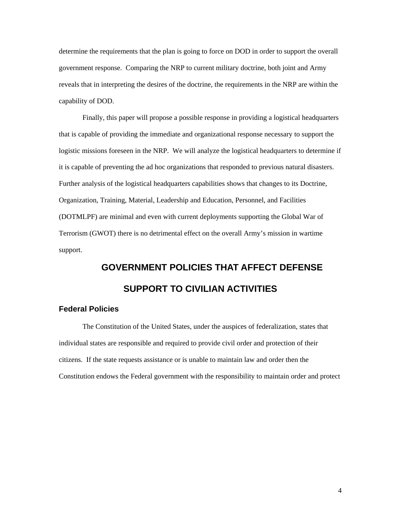<span id="page-9-0"></span>determine the requirements that the plan is going to force on DOD in order to support the overall government response. Comparing the NRP to current military doctrine, both joint and Army reveals that in interpreting the desires of the doctrine, the requirements in the NRP are within the capability of DOD.

Finally, this paper will propose a possible response in providing a logistical headquarters that is capable of providing the immediate and organizational response necessary to support the logistic missions foreseen in the NRP. We will analyze the logistical headquarters to determine if it is capable of preventing the ad hoc organizations that responded to previous natural disasters. Further analysis of the logistical headquarters capabilities shows that changes to its Doctrine, Organization, Training, Material, Leadership and Education, Personnel, and Facilities (DOTMLPF) are minimal and even with current deployments supporting the Global War of Terrorism (GWOT) there is no detrimental effect on the overall Army's mission in wartime support.

# **GOVERNMENT POLICIES THAT AFFECT DEFENSE SUPPORT TO CIVILIAN ACTIVITIES**

#### **Federal Policies**

The Constitution of the United States, under the auspices of federalization, states that individual states are responsible and required to provide civil order and protection of their citizens. If the state requests assistance or is unable to maintain law and order then the Constitution endows the Federal government with the responsibility to maintain order and protect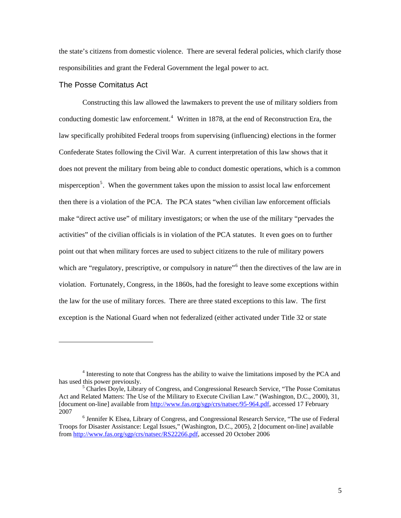<span id="page-10-0"></span>the state's citizens from domestic violence. There are several federal policies, which clarify those responsibilities and grant the Federal Government the legal power to act.

#### The Posse Comitatus Act

 $\overline{a}$ 

Constructing this law allowed the lawmakers to prevent the use of military soldiers from conducting domestic law enforcement.<sup>[4](#page-10-1)</sup> Written in 1878, at the end of Reconstruction Era, the law specifically prohibited Federal troops from supervising (influencing) elections in the former Confederate States following the Civil War. A current interpretation of this law shows that it does not prevent the military from being able to conduct domestic operations, which is a common misperception<sup>[5](#page-10-2)</sup>. When the government takes upon the mission to assist local law enforcement then there is a violation of the PCA. The PCA states "when civilian law enforcement officials make "direct active use" of military investigators; or when the use of the military "pervades the activities" of the civilian officials is in violation of the PCA statutes. It even goes on to further point out that when military forces are used to subject citizens to the rule of military powers which are "regulatory, prescriptive, or compulsory in nature"<sup>[6](#page-10-3)</sup> then the directives of the law are in violation. Fortunately, Congress, in the 1860s, had the foresight to leave some exceptions within the law for the use of military forces. There are three stated exceptions to this law. The first exception is the National Guard when not federalized (either activated under Title 32 or state

<span id="page-10-1"></span><sup>&</sup>lt;sup>4</sup> Interesting to note that Congress has the ability to waive the limitations imposed by the PCA and has used this power previously.

<span id="page-10-2"></span> $<sup>5</sup>$  Charles Doyle, Library of Congress, and Congressional Research Service, "The Posse Comitatus"</sup> Act and Related Matters: The Use of the Military to Execute Civilian Law." (Washington, D.C., 2000), 31, [document on-line] available from <http://www.fas.org/sgp/crs/natsec/95-964.pdf>, accessed 17 February 2007

<span id="page-10-3"></span> $<sup>6</sup>$  Jennifer K Elsea, Library of Congress, and Congressional Research Service, "The use of Federal</sup> Troops for Disaster Assistance: Legal Issues," (Washington, D.C., 2005), 2 [document on-line] available from <http://www.fas.org/sgp/crs/natsec/RS22266.pdf>, accessed 20 October 2006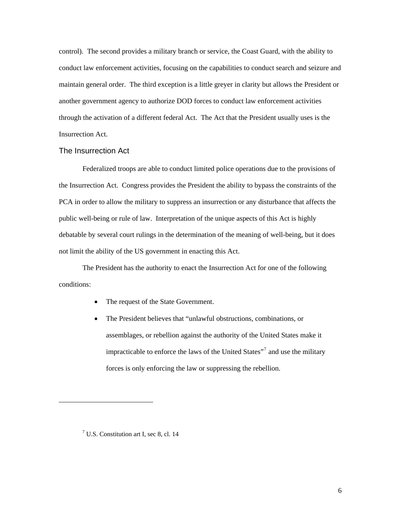<span id="page-11-0"></span>control). The second provides a military branch or service, the Coast Guard, with the ability to conduct law enforcement activities, focusing on the capabilities to conduct search and seizure and maintain general order. The third exception is a little greyer in clarity but allows the President or another government agency to authorize DOD forces to conduct law enforcement activities through the activation of a different federal Act. The Act that the President usually uses is the Insurrection Act.

#### The Insurrection Act

Federalized troops are able to conduct limited police operations due to the provisions of the Insurrection Act. Congress provides the President the ability to bypass the constraints of the PCA in order to allow the military to suppress an insurrection or any disturbance that affects the public well-being or rule of law. Interpretation of the unique aspects of this Act is highly debatable by several court rulings in the determination of the meaning of well-being, but it does not limit the ability of the US government in enacting this Act.

The President has the authority to enact the Insurrection Act for one of the following conditions:

- The request of the State Government.
- The President believes that "unlawful obstructions, combinations, or assemblages, or rebellion against the authority of the United States make it impracticable to enforce the laws of the United States"<sup>[7](#page-11-1)</sup> and use the military forces is only enforcing the law or suppressing the rebellion.

<span id="page-11-1"></span> $\overline{\phantom{a}}$ 

<sup>7</sup> U.S. Constitution art I, sec 8, cl. 14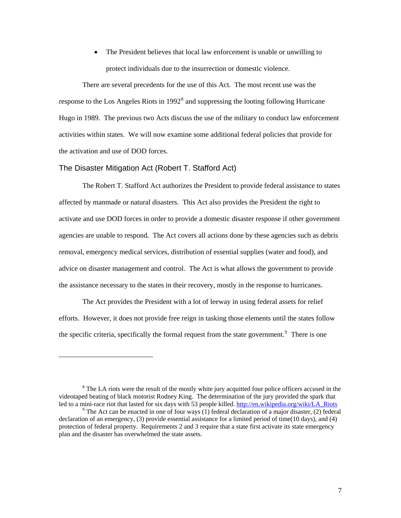The President believes that local law enforcement is unable or unwilling to protect individuals due to the insurrection or domestic violence.

<span id="page-12-0"></span>There are several precedents for the use of this Act. The most recent use was the response to the Los Angeles Riots in  $1992<sup>8</sup>$  $1992<sup>8</sup>$  $1992<sup>8</sup>$  and suppressing the looting following Hurricane Hugo in 1989. The previous two Acts discuss the use of the military to conduct law enforcement activities within states. We will now examine some additional federal policies that provide for the activation and use of DOD forces.

#### The Disaster Mitigation Act (Robert T. Stafford Act)

 $\overline{\phantom{a}}$ 

The Robert T. Stafford Act authorizes the President to provide federal assistance to states affected by manmade or natural disasters. This Act also provides the President the right to activate and use DOD forces in order to provide a domestic disaster response if other government agencies are unable to respond. The Act covers all actions done by these agencies such as debris removal, emergency medical services, distribution of essential supplies (water and food), and advice on disaster management and control. The Act is what allows the government to provide the assistance necessary to the states in their recovery, mostly in the response to hurricanes.

The Act provides the President with a lot of leeway in using federal assets for relief efforts. However, it does not provide free reign in tasking those elements until the states follow the specific criteria, specifically the formal request from the state government.<sup>[9](#page-12-2)</sup> There is one

<span id="page-12-1"></span> $8$  The LA riots were the result of the mostly white jury acquitted four police officers accused in the videotaped beating of black motorist Rodney King. The determination of the jury provided the spark that led to a mini-race riot that lasted for six days with 53 people killed. [http://en.wikipedia.org/wiki/LA\\_Riots](http://en.wikipedia.org/wiki/LA_Riots)

<span id="page-12-2"></span><sup>&</sup>lt;sup>9</sup> The Act can be enacted in one of four ways (1) federal declaration of a major disaster, (2) federal declaration of an emergency, (3) provide essential assistance for a limited period of time(10 days), and (4) protection of federal property. Requirements 2 and 3 require that a state first activate its state emergency plan and the disaster has overwhelmed the state assets.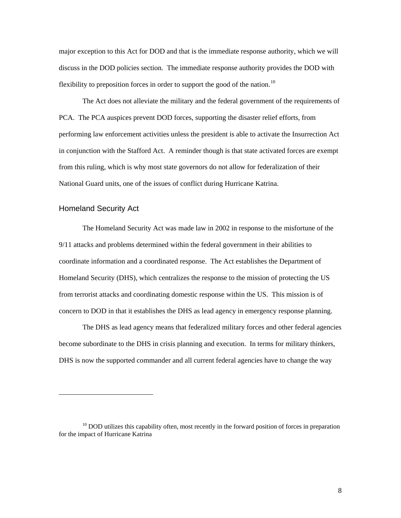<span id="page-13-0"></span>major exception to this Act for DOD and that is the immediate response authority, which we will discuss in the DOD policies section. The immediate response authority provides the DOD with flexibility to preposition forces in order to support the good of the nation.<sup>[10](#page-13-1)</sup>

The Act does not alleviate the military and the federal government of the requirements of PCA. The PCA auspices prevent DOD forces, supporting the disaster relief efforts, from performing law enforcement activities unless the president is able to activate the Insurrection Act in conjunction with the Stafford Act. A reminder though is that state activated forces are exempt from this ruling, which is why most state governors do not allow for federalization of their National Guard units, one of the issues of conflict during Hurricane Katrina.

#### Homeland Security Act

1

The Homeland Security Act was made law in 2002 in response to the misfortune of the 9/11 attacks and problems determined within the federal government in their abilities to coordinate information and a coordinated response. The Act establishes the Department of Homeland Security (DHS), which centralizes the response to the mission of protecting the US from terrorist attacks and coordinating domestic response within the US. This mission is of concern to DOD in that it establishes the DHS as lead agency in emergency response planning.

The DHS as lead agency means that federalized military forces and other federal agencies become subordinate to the DHS in crisis planning and execution. In terms for military thinkers, DHS is now the supported commander and all current federal agencies have to change the way

<span id="page-13-1"></span> $10$  DOD utilizes this capability often, most recently in the forward position of forces in preparation for the impact of Hurricane Katrina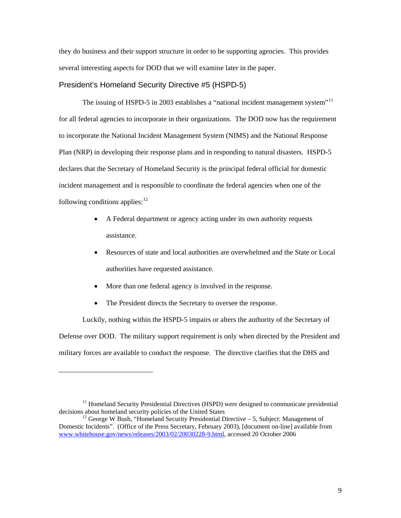<span id="page-14-0"></span>they do business and their support structure in order to be supporting agencies. This provides several interesting aspects for DOD that we will examine later in the paper.

#### President's Homeland Security Directive #5 (HSPD-5)

The issuing of HSPD-5 in 2003 establishes a "national incident management system"<sup>[11](#page-14-1)</sup> for all federal agencies to incorporate in their organizations. The DOD now has the requirement to incorporate the National Incident Management System (NIMS) and the National Response Plan (NRP) in developing their response plans and in responding to natural disasters. HSPD-5 declares that the Secretary of Homeland Security is the principal federal official for domestic incident management and is responsible to coordinate the federal agencies when one of the following conditions applies:  $12$ 

- A Federal department or agency acting under its own authority requests assistance.
- Resources of state and local authorities are overwhelmed and the State or Local authorities have requested assistance.
- More than one federal agency is involved in the response.
- The President directs the Secretary to oversee the response.

1

Luckily, nothing within the HSPD-5 impairs or alters the authority of the Secretary of Defense over DOD. The military support requirement is only when directed by the President and military forces are available to conduct the response. The directive clarifies that the DHS and

<span id="page-14-1"></span> $11$  Homeland Security Presidential Directives (HSPD) were designed to communicate presidential decisions about homeland security policies of the United States

<span id="page-14-2"></span><sup>&</sup>lt;sup>12</sup> George W Bush, "Homeland Security Presidential Directive – 5, Subject: Management of Domestic Incidents". (Office of the Press Secretary, February 2003), [document on-line] available from [www.whitehouse.gov/news/releases/2003/02/20030228-9.html](http://www.whitehouse.gov/news/releases/2003/02/20030228-9.html), accessed 20 October 2006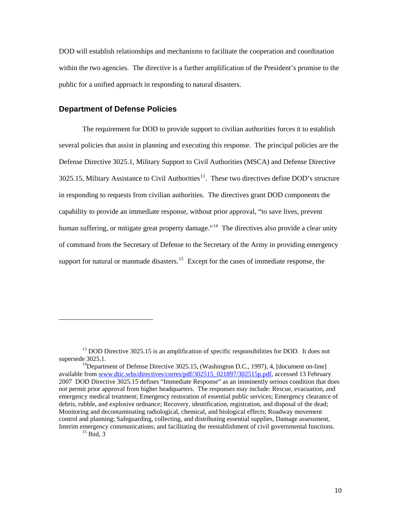<span id="page-15-0"></span>DOD will establish relationships and mechanisms to facilitate the cooperation and coordination within the two agencies. The directive is a further amplification of the President's promise to the public for a unified approach in responding to natural disasters.

#### **Department of Defense Policies**

The requirement for DOD to provide support to civilian authorities forces it to establish several policies that assist in planning and executing this response. The principal policies are the Defense Directive 3025.1, Military Support to Civil Authorities (MSCA) and Defense Directive  $3025.15$ , Military Assistance to Civil Authorities<sup>[13](#page-15-1)</sup>. These two directives define DOD's structure in responding to requests from civilian authorities. The directives grant DOD components the capability to provide an immediate response, without prior approval, "to save lives, prevent human suffering, or mitigate great property damage."<sup>[14](#page-15-2)</sup> The directives also provide a clear unity of command from the Secretary of Defense to the Secretary of the Army in providing emergency support for natural or manmade disasters.<sup>[15](#page-15-3)</sup> Except for the cases of immediate response, the

l

<span id="page-15-1"></span><sup>&</sup>lt;sup>13</sup> DOD Directive 3025.15 is an amplification of specific responsibilities for DOD. It does not supersede 3025.1.<br><sup>14</sup>Department of Defense Directive 3025.15, (Washington D.C., 1997), 4, [document on-line]

<span id="page-15-2"></span>available from [www.dtic.whs/directives/corres/pdf/302515\\_021897/302515p.pdf,](http://www.dtic.whs/directives/corres/pdf/302515_021897/302515p.pdf) accessed 13 February 2007 DOD Directive 3025.15 defines "Immediate Response" as an imminently serious condition that does not permit prior approval from higher headquarters. The responses may include: Rescue, evacuation, and emergency medical treatment; Emergency restoration of essential public services; Emergency clearance of debris, rubble, and explosive ordnance; Recovery, identification, registration, and disposal of the dead; Monitoring and decontaminating radiological, chemical, and biological effects; Roadway movement control and planning; Safeguarding, collecting, and distributing essential supplies, Damage assessment, Interim emergency communications; and facilitating the reestablishment of civil governmental functions.<br><sup>15</sup> Ibid, 3

<span id="page-15-3"></span>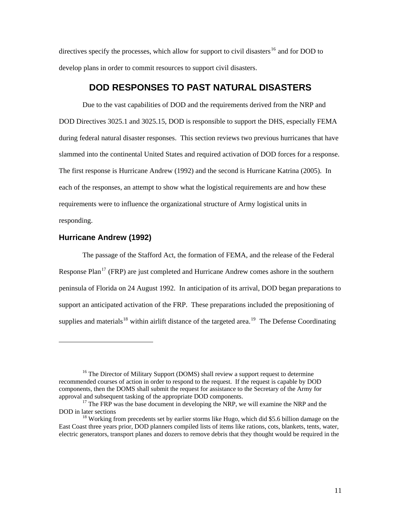<span id="page-16-0"></span>directives specify the processes, which allow for support to civil disasters<sup>[16](#page-16-1)</sup> and for DOD to develop plans in order to commit resources to support civil disasters.

## **DOD RESPONSES TO PAST NATURAL DISASTERS**

Due to the vast capabilities of DOD and the requirements derived from the NRP and DOD Directives 3025.1 and 3025.15, DOD is responsible to support the DHS, especially FEMA during federal natural disaster responses. This section reviews two previous hurricanes that have slammed into the continental United States and required activation of DOD forces for a response. The first response is Hurricane Andrew (1992) and the second is Hurricane Katrina (2005). In each of the responses, an attempt to show what the logistical requirements are and how these requirements were to influence the organizational structure of Army logistical units in responding.

#### **Hurricane Andrew (1992)**

1

The passage of the Stafford Act, the formation of FEMA, and the release of the Federal Response Plan<sup>[17](#page-16-2)</sup> (FRP) are just completed and Hurricane Andrew comes ashore in the southern peninsula of Florida on 24 August 1992. In anticipation of its arrival, DOD began preparations to support an anticipated activation of the FRP. These preparations included the prepositioning of supplies and materials<sup>[18](#page-16-3)</sup> within airlift distance of the targeted area.<sup>[19](#page-16-4)</sup> The Defense Coordinating

<span id="page-16-1"></span><sup>&</sup>lt;sup>16</sup> The Director of Military Support (DOMS) shall review a support request to determine recommended courses of action in order to respond to the request. If the request is capable by DOD components, then the DOMS shall submit the request for assistance to the Secretary of the Army for approval and subsequent tasking of the appropriate DOD components.

<span id="page-16-4"></span><span id="page-16-2"></span> $17$  The FRP was the base document in developing the NRP, we will examine the NRP and the DOD in later sections 18 Working from precedents set by earlier storms like Hugo, which did \$5.6 billion damage on the

<span id="page-16-3"></span>East Coast three years prior, DOD planners compiled lists of items like rations, cots, blankets, tents, water, electric generators, transport planes and dozers to remove debris that they thought would be required in the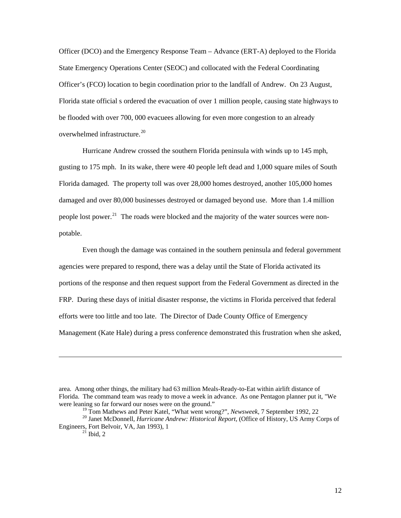Officer (DCO) and the Emergency Response Team – Advance (ERT-A) deployed to the Florida State Emergency Operations Center (SEOC) and collocated with the Federal Coordinating Officer's (FCO) location to begin coordination prior to the landfall of Andrew. On 23 August, Florida state official s ordered the evacuation of over 1 million people, causing state highways to be flooded with over 700, 000 evacuees allowing for even more congestion to an already overwhelmed infrastructure.<sup>[20](#page-17-0)</sup>

Hurricane Andrew crossed the southern Florida peninsula with winds up to 145 mph, gusting to 175 mph. In its wake, there were 40 people left dead and 1,000 square miles of South Florida damaged. The property toll was over 28,000 homes destroyed, another 105,000 homes damaged and over 80,000 businesses destroyed or damaged beyond use. More than 1.4 million people lost power.<sup>[21](#page-17-1)</sup> The roads were blocked and the majority of the water sources were nonpotable.

Even though the damage was contained in the southern peninsula and federal government agencies were prepared to respond, there was a delay until the State of Florida activated its portions of the response and then request support from the Federal Government as directed in the FRP. During these days of initial disaster response, the victims in Florida perceived that federal efforts were too little and too late. The Director of Dade County Office of Emergency Management (Kate Hale) during a press conference demonstrated this frustration when she asked,

area. Among other things, the military had 63 million Meals-Ready-to-Eat within airlift distance of Florida. The command team was ready to move a week in advance. As one Pentagon planner put it, "We were leaning so far forward our noses were on the ground."

<sup>&</sup>lt;sup>19</sup> Tom Mathews and Peter Katel, "What went wrong?", *Newsweek*, 7 September 1992, 22<br><sup>20</sup> Janet McDonnell, *Hurricane Andrew: Historical Report*, (Office of History, US Army Corps of

<span id="page-17-1"></span><span id="page-17-0"></span>Engineers, Fort Belvoir, VA, Jan 1993), 1<br><sup>21</sup> Ibid, 2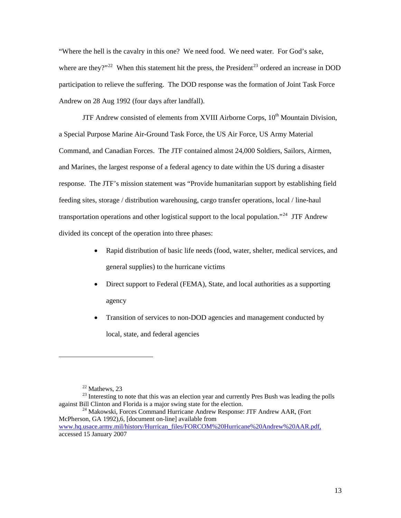"Where the hell is the cavalry in this one? We need food. We need water. For God's sake, where are they?"<sup>[22](#page-18-0)</sup> When this statement hit the press, the President<sup>[23](#page-18-1)</sup> ordered an increase in DOD participation to relieve the suffering. The DOD response was the formation of Joint Task Force Andrew on 28 Aug 1992 (four days after landfall).

JTF Andrew consisted of elements from XVIII Airborne Corps,  $10<sup>th</sup>$  Mountain Division, a Special Purpose Marine Air-Ground Task Force, the US Air Force, US Army Material Command, and Canadian Forces. The JTF contained almost 24,000 Soldiers, Sailors, Airmen, and Marines, the largest response of a federal agency to date within the US during a disaster response. The JTF's mission statement was "Provide humanitarian support by establishing field feeding sites, storage / distribution warehousing, cargo transfer operations, local / line-haul transportation operations and other logistical support to the local population."<sup>[24](#page-18-2)</sup> JTF Andrew divided its concept of the operation into three phases:

- Rapid distribution of basic life needs (food, water, shelter, medical services, and general supplies) to the hurricane victims
- Direct support to Federal (FEMA), State, and local authorities as a supporting agency
- Transition of services to non-DOD agencies and management conducted by local, state, and federal agencies

 $22$  Mathews, 23

<span id="page-18-1"></span><span id="page-18-0"></span> $^{23}$  Interesting to note that this was an election year and currently Pres Bush was leading the polls against Bill Clinton and Florida is a major swing state for the election.

<span id="page-18-2"></span><sup>&</sup>lt;sup>24</sup> Makowski, Forces Command Hurricane Andrew Response: JTF Andrew AAR, (Fort McPherson, GA 1992),6, [document on-line] available from [www.hq.usace.army.mil/history/Hurrican\\_files/FORCOM%20Hurricane%20Andrew%20AAR.pdf,](https://sp-cgsc.leavenworth.army.mil/sites/sams/ay07/students/Shared%20Documents/Seminar%206/Personal%20Folders/Britton/www.hq.usace.army.mil/history/Hurrican_files/FORCOM%20Hurricane%20Andrew%20AAR.pdf,) accessed 15 January 2007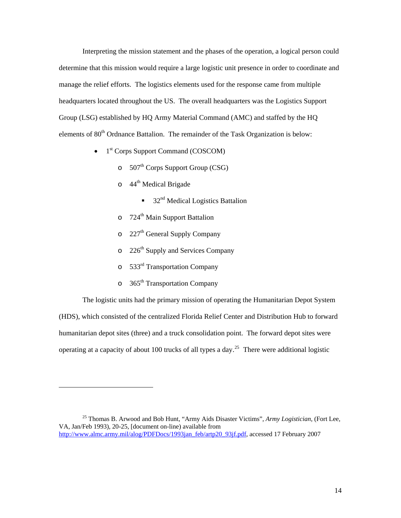Interpreting the mission statement and the phases of the operation, a logical person could determine that this mission would require a large logistic unit presence in order to coordinate and manage the relief efforts. The logistics elements used for the response came from multiple headquarters located throughout the US. The overall headquarters was the Logistics Support Group (LSG) established by HQ Army Material Command (AMC) and staffed by the HQ elements of  $80<sup>th</sup>$  Ordnance Battalion. The remainder of the Task Organization is below:

- $\bullet$  1<sup>st</sup> Corps Support Command (COSCOM)
	- $\circ$  507<sup>th</sup> Corps Support Group (CSG)
	- $\circ$  44<sup>th</sup> Medical Brigade
		- $\blacksquare$  32<sup>nd</sup> Medical Logistics Battalion
	- $\circ$  724<sup>th</sup> Main Support Battalion
	- $\circ$  227<sup>th</sup> General Supply Company
	- $\circ$  226<sup>th</sup> Supply and Services Company
	- o 533rd Transportation Company
	- $\circ$  365<sup>th</sup> Transportation Company

-

The logistic units had the primary mission of operating the Humanitarian Depot System (HDS), which consisted of the centralized Florida Relief Center and Distribution Hub to forward humanitarian depot sites (three) and a truck consolidation point. The forward depot sites were operating at a capacity of about 100 trucks of all types a day.<sup>[25](#page-19-0)</sup> There were additional logistic

<span id="page-19-0"></span><sup>25</sup> Thomas B. Arwood and Bob Hunt, "Army Aids Disaster Victims", *Army Logistician*, (Fort Lee, VA, Jan/Feb 1993), 20-25, [document on-line) available from [http://www.almc.army.mil/alog/PDFDocs/1993jan\\_feb/artp20\\_93jf.pdf](http://www.almc.army.mil/alog/PDFDocs/1993jan_feb/artp20_93jf.pdf), accessed 17 February 2007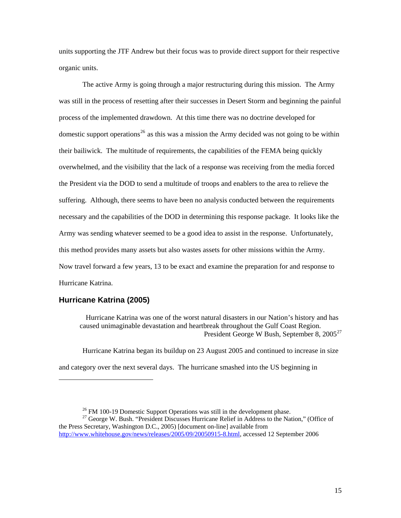<span id="page-20-0"></span>units supporting the JTF Andrew but their focus was to provide direct support for their respective organic units.

The active Army is going through a major restructuring during this mission. The Army was still in the process of resetting after their successes in Desert Storm and beginning the painful process of the implemented drawdown. At this time there was no doctrine developed for domestic support operations<sup>[26](#page-20-1)</sup> as this was a mission the Army decided was not going to be within their bailiwick. The multitude of requirements, the capabilities of the FEMA being quickly overwhelmed, and the visibility that the lack of a response was receiving from the media forced the President via the DOD to send a multitude of troops and enablers to the area to relieve the suffering. Although, there seems to have been no analysis conducted between the requirements necessary and the capabilities of the DOD in determining this response package. It looks like the Army was sending whatever seemed to be a good idea to assist in the response. Unfortunately, this method provides many assets but also wastes assets for other missions within the Army. Now travel forward a few years, 13 to be exact and examine the preparation for and response to Hurricane Katrina.

#### **Hurricane Katrina (2005)**

-

Hurricane Katrina was one of the worst natural disasters in our Nation's history and has caused unimaginable devastation and heartbreak throughout the Gulf Coast Region. President George W Bush, September 8, 2005<sup>[27](#page-20-2)</sup>

Hurricane Katrina began its buildup on 23 August 2005 and continued to increase in size and category over the next several days. The hurricane smashed into the US beginning in

 $26$  FM 100-19 Domestic Support Operations was still in the development phase.

<span id="page-20-2"></span><span id="page-20-1"></span><sup>&</sup>lt;sup>27</sup> George W. Bush. "President Discusses Hurricane Relief in Address to the Nation," (Office of the Press Secretary, Washington D.C., 2005) [document on-line] available from <http://www.whitehouse.gov/news/releases/2005/09/20050915-8.html>, accessed 12 September 2006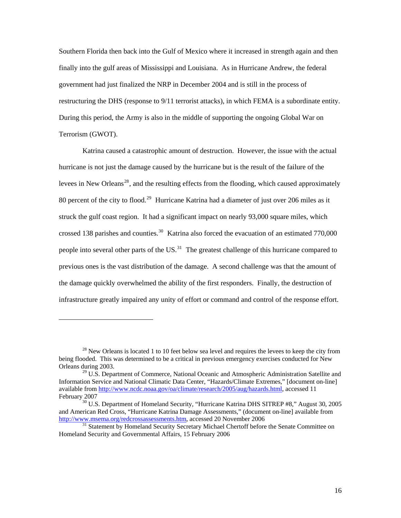Southern Florida then back into the Gulf of Mexico where it increased in strength again and then finally into the gulf areas of Mississippi and Louisiana. As in Hurricane Andrew, the federal government had just finalized the NRP in December 2004 and is still in the process of restructuring the DHS (response to 9/11 terrorist attacks), in which FEMA is a subordinate entity. During this period, the Army is also in the middle of supporting the ongoing Global War on Terrorism (GWOT).

Katrina caused a catastrophic amount of destruction. However, the issue with the actual hurricane is not just the damage caused by the hurricane but is the result of the failure of the levees in New Orleans<sup>[28](#page-21-0)</sup>, and the resulting effects from the flooding, which caused approximately 80 percent of the city to flood.<sup>[29](#page-21-1)</sup> Hurricane Katrina had a diameter of just over 206 miles as it struck the gulf coast region. It had a significant impact on nearly 93,000 square miles, which crossed 138 parishes and counties.<sup>[30](#page-21-2)</sup> Katrina also forced the evacuation of an estimated 770,000 people into several other parts of the  $US<sup>31</sup>$  $US<sup>31</sup>$  $US<sup>31</sup>$ . The greatest challenge of this hurricane compared to previous ones is the vast distribution of the damage. A second challenge was that the amount of the damage quickly overwhelmed the ability of the first responders. Finally, the destruction of infrastructure greatly impaired any unity of effort or command and control of the response effort.

 $\overline{a}$ 

<span id="page-21-0"></span> $^{28}$  New Orleans is located 1 to 10 feet below sea level and requires the levees to keep the city from being flooded. This was determined to be a critical in previous emergency exercises conducted for New Orleans during 2003.

<span id="page-21-1"></span> $29$  U.S. Department of Commerce, National Oceanic and Atmospheric Administration Satellite and Information Service and National Climatic Data Center, "Hazards/Climate Extremes," [document on-line] available from [http://www.ncdc.noaa.gov/oa/climate/research/2005/aug/hazards.html,](http://www.ncdc.noaa.gov/oa/climate/research/2005/aug/hazards.html) accessed 11 February 2007<br><sup>30</sup> U.S. Department of Homeland Security, "Hurricane Katrina DHS SITREP #8," August 30, 2005

<span id="page-21-2"></span>and American Red Cross, "Hurricane Katrina Damage Assessments," (document on-line] available from http://www.msema.org/redcrossassessments.htm, accessed 20 November 2006

<span id="page-21-3"></span><sup>&</sup>lt;sup>[31](http://www.msema.org/redcrossassessments.htm)</sup> Statement by Homeland Security Secretary Michael Chertoff before the Senate Committee on Homeland Security and Governmental Affairs, 15 February 2006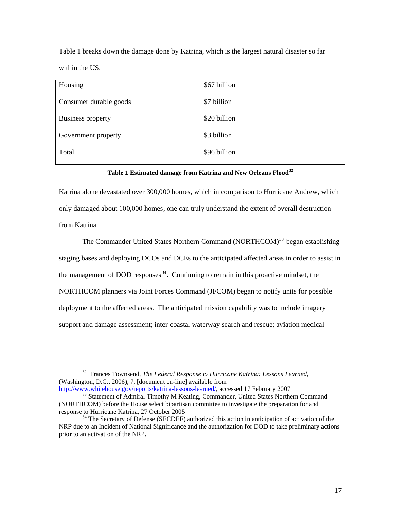Table 1 breaks down the damage done by Katrina, which is the largest natural disaster so far within the US.

| Housing                | \$67 billion |
|------------------------|--------------|
| Consumer durable goods | \$7 billion  |
| Business property      | \$20 billion |
| Government property    | \$3 billion  |
| Total                  | \$96 billion |

#### **Table 1 Estimated damage from Katrina and New Orleans Flood[32](#page-22-0)**

Katrina alone devastated over 300,000 homes, which in comparison to Hurricane Andrew, which only damaged about 100,000 homes, one can truly understand the extent of overall destruction from Katrina.

The Commander United States Northern Command (NORTHCOM)<sup>[33](#page-22-1)</sup> began establishing staging bases and deploying DCOs and DCEs to the anticipated affected areas in order to assist in the management of DOD responses<sup>[34](#page-22-2)</sup>. Continuing to remain in this proactive mindset, the NORTHCOM planners via Joint Forces Command (JFCOM) began to notify units for possible deployment to the affected areas. The anticipated mission capability was to include imagery support and damage assessment; inter-coastal waterway search and rescue; aviation medical

<span id="page-22-0"></span><sup>32</sup> Frances Townsend, *The Federal Response to Hurricane Katrina: Lessons Learned*, (Washington, D.C., 2006), 7, [document on-line] available from<br>http://www.whitehouse.gov/reports/katrina-lessons-learned/, accessed 17 February 2007

 $\overline{a}$ 

<span id="page-22-1"></span><sup>[33](http://www.whitehouse.gov/reports/katrina-lessons-learned/)</sup> Statement of Admiral Timothy M Keating, Commander, United States Northern Command (NORTHCOM) before the House select bipartisan committee to investigate the preparation for and

<span id="page-22-2"></span> $34$  The Secretary of Defense (SECDEF) authorized this action in anticipation of activation of the NRP due to an Incident of National Significance and the authorization for DOD to take preliminary actions prior to an activation of the NRP.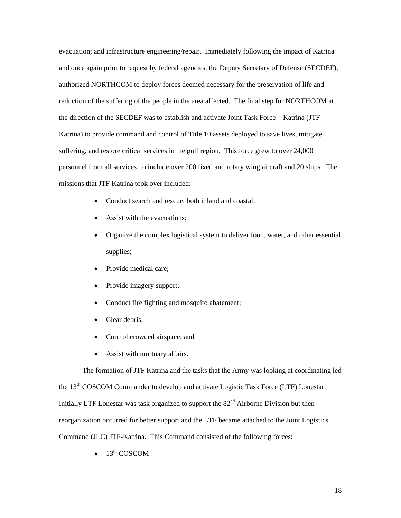evacuation; and infrastructure engineering/repair. Immediately following the impact of Katrina and once again prior to request by federal agencies, the Deputy Secretary of Defense (SECDEF), authorized NORTHCOM to deploy forces deemed necessary for the preservation of life and reduction of the suffering of the people in the area affected. The final step for NORTHCOM at the direction of the SECDEF was to establish and activate Joint Task Force – Katrina (JTF Katrina) to provide command and control of Title 10 assets deployed to save lives, mitigate suffering, and restore critical services in the gulf region. This force grew to over 24,000 personnel from all services, to include over 200 fixed and rotary wing aircraft and 20 ships. The missions that JTF Katrina took over included:

- Conduct search and rescue, both inland and coastal;
- Assist with the evacuations;
- Organize the complex logistical system to deliver food, water, and other essential supplies;
- Provide medical care;
- Provide imagery support;
- Conduct fire fighting and mosquito abatement;
- Clear debris;
- Control crowded airspace; and
- Assist with mortuary affairs.

The formation of JTF Katrina and the tasks that the Army was looking at coordinating led the 13<sup>th</sup> COSCOM Commander to develop and activate Logistic Task Force (LTF) Lonestar. Initially LTF Lonestar was task organized to support the  $82<sup>nd</sup>$  Airborne Division but then reorganization occurred for better support and the LTF became attached to the Joint Logistics Command (JLC) JTF-Katrina. This Command consisted of the following forces:

 $\bullet$  13<sup>th</sup> COSCOM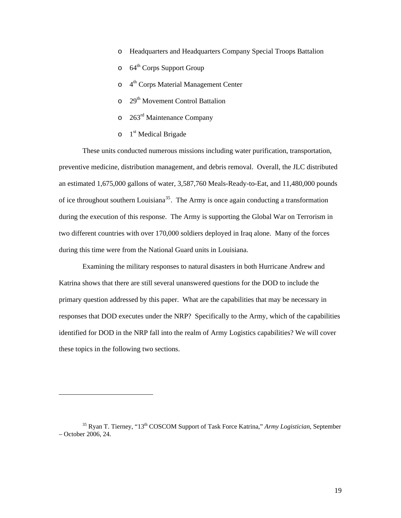- o Headquarters and Headquarters Company Special Troops Battalion
- $\circ$  64<sup>th</sup> Corps Support Group
- o 4<sup>th</sup> Corps Material Management Center
- o 29<sup>th</sup> Movement Control Battalion
- o 263rd Maintenance Company
- $\circ$  1<sup>st</sup> Medical Brigade

1

These units conducted numerous missions including water purification, transportation, preventive medicine, distribution management, and debris removal. Overall, the JLC distributed an estimated 1,675,000 gallons of water, 3,587,760 Meals-Ready-to-Eat, and 11,480,000 pounds of ice throughout southern Louisiana<sup>[35](#page-24-0)</sup>. The Army is once again conducting a transformation during the execution of this response. The Army is supporting the Global War on Terrorism in two different countries with over 170,000 soldiers deployed in Iraq alone. Many of the forces during this time were from the National Guard units in Louisiana.

Examining the military responses to natural disasters in both Hurricane Andrew and Katrina shows that there are still several unanswered questions for the DOD to include the primary question addressed by this paper. What are the capabilities that may be necessary in responses that DOD executes under the NRP? Specifically to the Army, which of the capabilities identified for DOD in the NRP fall into the realm of Army Logistics capabilities? We will cover these topics in the following two sections.

<span id="page-24-0"></span><sup>35</sup> Ryan T. Tierney, "13th COSCOM Support of Task Force Katrina," *Army Logistician*, September – October 2006, 24.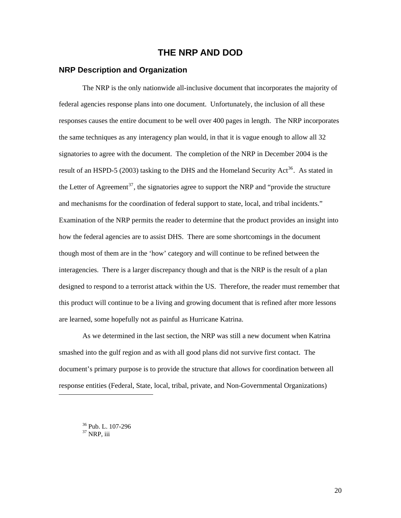### **THE NRP AND DOD**

#### <span id="page-25-0"></span>**NRP Description and Organization**

The NRP is the only nationwide all-inclusive document that incorporates the majority of federal agencies response plans into one document. Unfortunately, the inclusion of all these responses causes the entire document to be well over 400 pages in length. The NRP incorporates the same techniques as any interagency plan would, in that it is vague enough to allow all 32 signatories to agree with the document. The completion of the NRP in December 2004 is the result of an HSPD-5 (2003) tasking to the DHS and the Homeland Security Act<sup>[36](#page-25-1)</sup>. As stated in the Letter of Agreement<sup>[37](#page-25-2)</sup>, the signatories agree to support the NRP and "provide the structure and mechanisms for the coordination of federal support to state, local, and tribal incidents." Examination of the NRP permits the reader to determine that the product provides an insight into how the federal agencies are to assist DHS. There are some shortcomings in the document though most of them are in the 'how' category and will continue to be refined between the interagencies. There is a larger discrepancy though and that is the NRP is the result of a plan designed to respond to a terrorist attack within the US. Therefore, the reader must remember that this product will continue to be a living and growing document that is refined after more lessons are learned, some hopefully not as painful as Hurricane Katrina.

As we determined in the last section, the NRP was still a new document when Katrina smashed into the gulf region and as with all good plans did not survive first contact. The document's primary purpose is to provide the structure that allows for coordination between all response entities (Federal, State, local, tribal, private, and Non-Governmental Organizations)

36 Pub. L. 107-296  $37$  NRP, iii

<span id="page-25-2"></span><span id="page-25-1"></span>l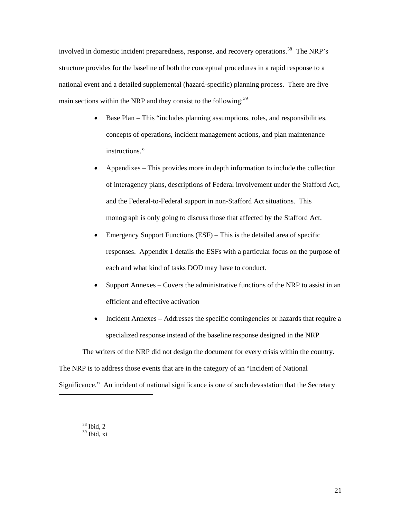involved in domestic incident preparedness, response, and recovery operations.<sup>[38](#page-26-0)</sup> The NRP's structure provides for the baseline of both the conceptual procedures in a rapid response to a national event and a detailed supplemental (hazard-specific) planning process. There are five main sections within the NRP and they consist to the following:  $39$ 

- Base Plan This "includes planning assumptions, roles, and responsibilities, concepts of operations, incident management actions, and plan maintenance instructions."
- Appendixes This provides more in depth information to include the collection of interagency plans, descriptions of Federal involvement under the Stafford Act, and the Federal-to-Federal support in non-Stafford Act situations. This monograph is only going to discuss those that affected by the Stafford Act.
- Emergency Support Functions  $(ESF)$  This is the detailed area of specific responses. Appendix 1 details the ESFs with a particular focus on the purpose of each and what kind of tasks DOD may have to conduct.
- Support Annexes Covers the administrative functions of the NRP to assist in an efficient and effective activation
- Incident Annexes Addresses the specific contingencies or hazards that require a specialized response instead of the baseline response designed in the NRP

The writers of the NRP did not design the document for every crisis within the country. The NRP is to address those events that are in the category of an "Incident of National Significance." An incident of national significance is one of such devastation that the Secretary

<span id="page-26-1"></span><span id="page-26-0"></span>38 Ibid, 2  $39$  Ibid, xi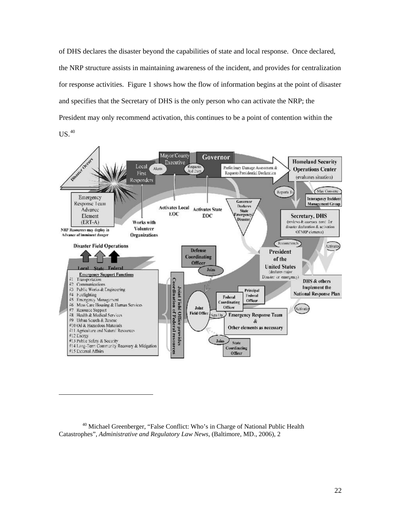of DHS declares the disaster beyond the capabilities of state and local response. Once declared, the NRP structure assists in maintaining awareness of the incident, and provides for centralization for response activities. Figure 1 shows how the flow of information begins at the point of disaster and specifies that the Secretary of DHS is the only person who can activate the NRP; the President may only recommend activation, this continues to be a point of contention within the  $US.<sup>40</sup>$  $US.<sup>40</sup>$  $US.<sup>40</sup>$ 



<span id="page-27-0"></span><sup>40</sup> Michael Greenberger, "False Conflict: Who's in Charge of National Public Health Catastrophes", *Administrative and Regulatory Law News,* (Baltimore, MD., 2006), 2

l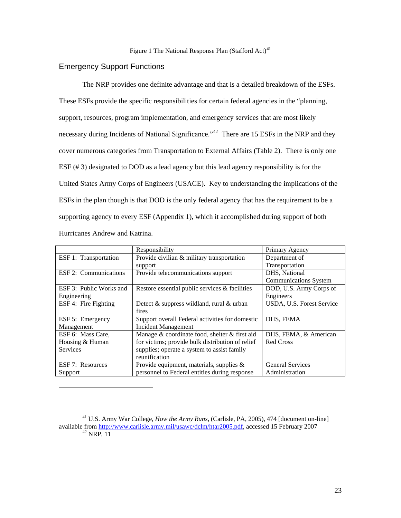#### <span id="page-28-0"></span>Emergency Support Functions

l

The NRP provides one definite advantage and that is a detailed breakdown of the ESFs. These ESFs provide the specific responsibilities for certain federal agencies in the "planning, support, resources, program implementation, and emergency services that are most likely necessary during Incidents of National Significance."<sup>[42](#page-28-2)</sup> There are 15 ESFs in the NRP and they cover numerous categories from Transportation to External Affairs (Table 2). There is only one ESF (# 3) designated to DOD as a lead agency but this lead agency responsibility is for the United States Army Corps of Engineers (USACE). Key to understanding the implications of the ESFs in the plan though is that DOD is the only federal agency that has the requirement to be a supporting agency to every ESF (Appendix 1), which it accomplished during support of both Hurricanes Andrew and Katrina.

|                         | Responsibility                                    | Primary Agency               |
|-------------------------|---------------------------------------------------|------------------------------|
| ESF 1: Transportation   | Provide civilian & military transportation        | Department of                |
|                         | support                                           | Transportation               |
| ESF 2: Communications   | Provide telecommunications support                | DHS, National                |
|                         |                                                   | <b>Communications System</b> |
| ESF 3: Public Works and | Restore essential public services $\&$ facilities | DOD, U.S. Army Corps of      |
| Engineering             |                                                   | Engineers                    |
| ESF 4: Fire Fighting    | Detect & suppress wildland, rural & urban         | USDA, U.S. Forest Service    |
|                         | fires                                             |                              |
| ESF 5: Emergency        | Support overall Federal activities for domestic   | DHS, FEMA                    |
| Management              | <b>Incident Management</b>                        |                              |
| ESF 6: Mass Care,       | Manage & coordinate food, shelter & first aid     | DHS, FEMA, & American        |
| Housing & Human         | for victims; provide bulk distribution of relief  | Red Cross                    |
| <b>Services</b>         | supplies; operate a system to assist family       |                              |
|                         | reunification                                     |                              |
| ESF 7: Resources        | Provide equipment, materials, supplies $\&$       | <b>General Services</b>      |
| Support                 | personnel to Federal entities during response     | Administration               |

<span id="page-28-2"></span><span id="page-28-1"></span><sup>41</sup> U.S. Army War College, *How the Army Runs*, (Carlisle, PA, 2005), 474 [document on-line] available from <http://www.carlisle.army.mil/usawc/dclm/htar2005.pdf>, accessed 15 February 2007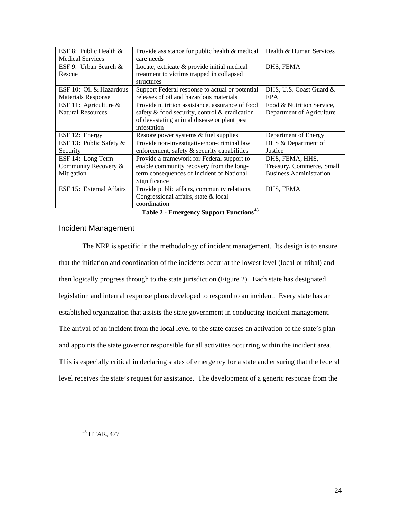<span id="page-29-0"></span>

| ESF 8: Public Health $&$  | Provide assistance for public health & medical  | Health & Human Services        |
|---------------------------|-------------------------------------------------|--------------------------------|
| <b>Medical Services</b>   | care needs                                      |                                |
| ESF 9: Urban Search &     | Locate, extricate & provide initial medical     | DHS, FEMA                      |
| Rescue                    | treatment to victims trapped in collapsed       |                                |
|                           | structures                                      |                                |
| ESF 10: Oil & Hazardous   | Support Federal response to actual or potential | DHS, U.S. Coast Guard &        |
| <b>Materials Response</b> | releases of oil and hazardous materials         | <b>EPA</b>                     |
| ESF 11: Agriculture $&$   | Provide nutrition assistance, assurance of food | Food & Nutrition Service.      |
| <b>Natural Resources</b>  | safety & food security, control & eradication   | Department of Agriculture      |
|                           | of devastating animal disease or plant pest     |                                |
|                           | infestation                                     |                                |
| ESF 12: Energy            | Restore power systems & fuel supplies           | Department of Energy           |
| ESF 13: Public Safety &   | Provide non-investigative/non-criminal law      | DHS & Department of            |
| Security                  | enforcement, safety & security capabilities     | Justice                        |
| ESF 14: Long Term         | Provide a framework for Federal support to      | DHS, FEMA, HHS,                |
| Community Recovery &      | enable community recovery from the long-        | Treasury, Commerce, Small      |
| Mitigation                | term consequences of Incident of National       | <b>Business Administration</b> |
|                           | Significance                                    |                                |
| ESF 15: External Affairs  | Provide public affairs, community relations,    | DHS, FEMA                      |
|                           | Congressional affairs, state & local            |                                |
|                           | coordination                                    |                                |

**Table 2 - Emergency Support Functions**[43](#page-29-1)

#### Incident Management

The NRP is specific in the methodology of incident management. Its design is to ensure that the initiation and coordination of the incidents occur at the lowest level (local or tribal) and then logically progress through to the state jurisdiction (Figure 2). Each state has designated legislation and internal response plans developed to respond to an incident. Every state has an established organization that assists the state government in conducting incident management. The arrival of an incident from the local level to the state causes an activation of the state's plan and appoints the state governor responsible for all activities occurring within the incident area. This is especially critical in declaring states of emergency for a state and ensuring that the federal level receives the state's request for assistance. The development of a generic response from the

<span id="page-29-1"></span>43 HTAR, 477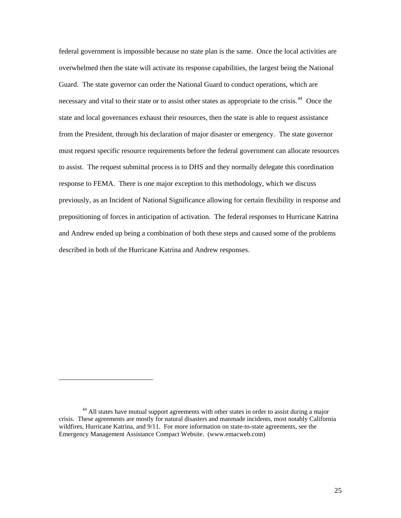federal government is impossible because no state plan is the same. Once the local activities are overwhelmed then the state will activate its response capabilities, the largest being the National Guard. The state governor can order the National Guard to conduct operations, which are necessary and vital to their state or to assist other states as appropriate to the crisis.<sup>[44](#page-30-0)</sup> Once the state and local governances exhaust their resources, then the state is able to request assistance from the President, through his declaration of major disaster or emergency. The state governor must request specific resource requirements before the federal government can allocate resources to assist. The request submittal process is to DHS and they normally delegate this coordination response to FEMA. There is one major exception to this methodology, which we discuss previously, as an Incident of National Significance allowing for certain flexibility in response and prepositioning of forces in anticipation of activation. The federal responses to Hurricane Katrina and Andrew ended up being a combination of both these steps and caused some of the problems described in both of the Hurricane Katrina and Andrew responses.

<span id="page-30-0"></span><sup>&</sup>lt;sup>44</sup> All states have mutual support agreements with other states in order to assist during a major crisis. These agreements are mostly for natural disasters and manmade incidents, most notably California wildfires, Hurricane Katrina, and 9/11. For more information on state-to-state agreements, see the Emergency Management Assistance Compact Website. (www.emacweb.com)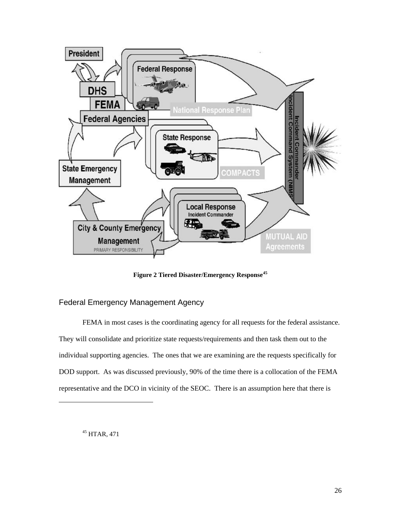<span id="page-31-0"></span>

**Figure 2 Tiered Disaster/Emergency Response[45](#page-31-1)**

#### Federal Emergency Management Agency

FEMA in most cases is the coordinating agency for all requests for the federal assistance. They will consolidate and prioritize state requests/requirements and then task them out to the individual supporting agencies. The ones that we are examining are the requests specifically for DOD support. As was discussed previously, 90% of the time there is a collocation of the FEMA representative and the DCO in vicinity of the SEOC. There is an assumption here that there is

<span id="page-31-1"></span>45 HTAR, 471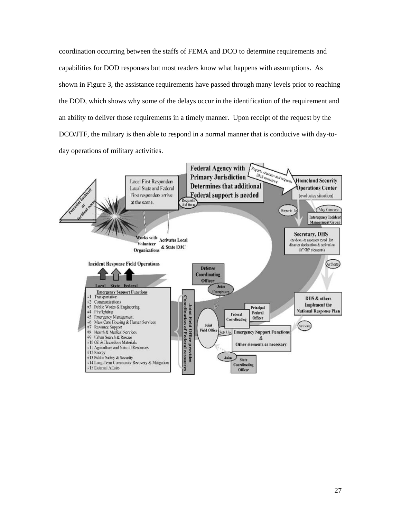coordination occurring between the staffs of FEMA and DCO to determine requirements and capabilities for DOD responses but most readers know what happens with assumptions. As shown in Figure 3, the assistance requirements have passed through many levels prior to reaching the DOD, which shows why some of the delays occur in the identification of the requirement and an ability to deliver those requirements in a timely manner. Upon receipt of the request by the DCO/JTF, the military is then able to respond in a normal manner that is conducive with day-today operations of military activities.

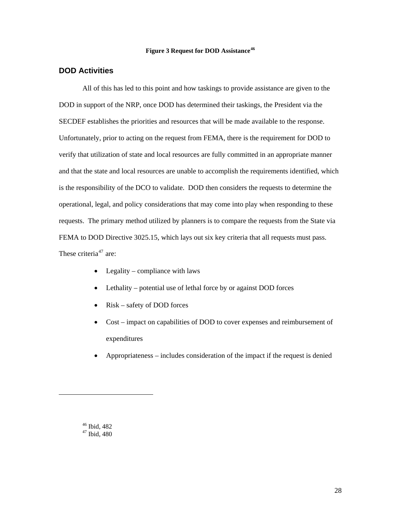#### **Figure 3 Request for DOD Assistance[46](#page-33-1)**

#### <span id="page-33-0"></span>**DOD Activities**

All of this has led to this point and how taskings to provide assistance are given to the DOD in support of the NRP, once DOD has determined their taskings, the President via the SECDEF establishes the priorities and resources that will be made available to the response. Unfortunately, prior to acting on the request from FEMA, there is the requirement for DOD to verify that utilization of state and local resources are fully committed in an appropriate manner and that the state and local resources are unable to accomplish the requirements identified, which is the responsibility of the DCO to validate. DOD then considers the requests to determine the operational, legal, and policy considerations that may come into play when responding to these requests. The primary method utilized by planners is to compare the requests from the State via FEMA to DOD Directive 3025.15, which lays out six key criteria that all requests must pass. These criteria<sup>[47](#page-33-2)</sup> are:

- Legality compliance with laws
- Lethality potential use of lethal force by or against DOD forces
- Risk safety of DOD forces
- Cost impact on capabilities of DOD to cover expenses and reimbursement of expenditures
- Appropriateness includes consideration of the impact if the request is denied

<span id="page-33-2"></span><span id="page-33-1"></span>l

<sup>46</sup> Ibid, 482  $47$  Ibid,  $480$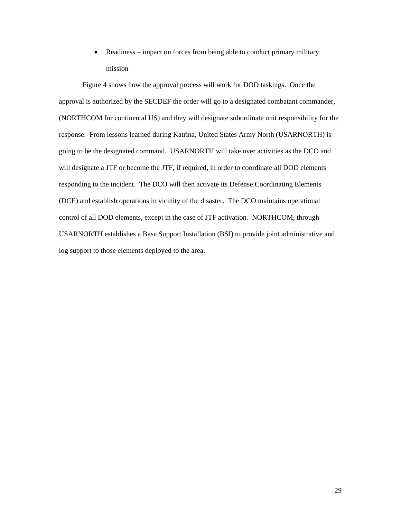• Readiness – impact on forces from being able to conduct primary military mission

Figure 4 shows how the approval process will work for DOD taskings. Once the approval is authorized by the SECDEF the order will go to a designated combatant commander, (NORTHCOM for continental US) and they will designate subordinate unit responsibility for the response. From lessons learned during Katrina, United States Army North (USARNORTH) is going to be the designated command. USARNORTH will take over activities as the DCO and will designate a JTF or become the JTF, if required, in order to coordinate all DOD elements responding to the incident. The DCO will then activate its Defense Coordinating Elements (DCE) and establish operations in vicinity of the disaster. The DCO maintains operational control of all DOD elements, except in the case of JTF activation. NORTHCOM, through USARNORTH establishes a Base Support Installation (BSI) to provide joint administrative and log support to those elements deployed to the area.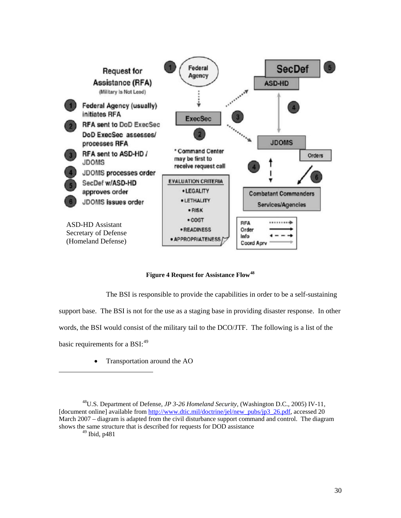<span id="page-35-0"></span>

**Figure 4 Request for Assistance Flow[48](#page-35-1)**

The BSI is responsible to provide the capabilities in order to be a self-sustaining

support base. The BSI is not for the use as a staging base in providing disaster response. In other

words, the BSI would consist of the military tail to the DCO/JTF. The following is a list of the

basic requirements for a BSI:<sup>[49](#page-35-2)</sup>

1

• Transportation around the AO

<span id="page-35-2"></span><span id="page-35-1"></span><sup>48</sup>U.S. Department of Defense, *JP 3-26 Homeland Security,* (Washington D.C., 2005) IV-11, [document online] available from [http://www.dtic.mil/doctrine/jel/new\\_pubs/jp3\\_26.pdf,](http://www.dtic.mil/doctrine/jel/new_pubs/jp3_26.pdf) accessed 20 March 2007 – diagram is adapted from the civil disturbance support command and control. The diagram shows the same structure that is described for requests for DOD assistance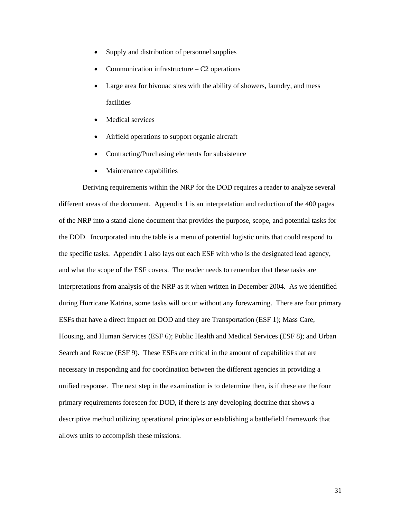- Supply and distribution of personnel supplies
- Communication infrastructure  $-$  C<sub>2</sub> operations
- Large area for bivouac sites with the ability of showers, laundry, and mess facilities
- Medical services
- Airfield operations to support organic aircraft
- Contracting/Purchasing elements for subsistence
- Maintenance capabilities

Deriving requirements within the NRP for the DOD requires a reader to analyze several different areas of the document. Appendix 1 is an interpretation and reduction of the 400 pages of the NRP into a stand-alone document that provides the purpose, scope, and potential tasks for the DOD. Incorporated into the table is a menu of potential logistic units that could respond to the specific tasks. Appendix 1 also lays out each ESF with who is the designated lead agency, and what the scope of the ESF covers. The reader needs to remember that these tasks are interpretations from analysis of the NRP as it when written in December 2004. As we identified during Hurricane Katrina, some tasks will occur without any forewarning. There are four primary ESFs that have a direct impact on DOD and they are Transportation (ESF 1); Mass Care, Housing, and Human Services (ESF 6); Public Health and Medical Services (ESF 8); and Urban Search and Rescue (ESF 9). These ESFs are critical in the amount of capabilities that are necessary in responding and for coordination between the different agencies in providing a unified response. The next step in the examination is to determine then, is if these are the four primary requirements foreseen for DOD, if there is any developing doctrine that shows a descriptive method utilizing operational principles or establishing a battlefield framework that allows units to accomplish these missions.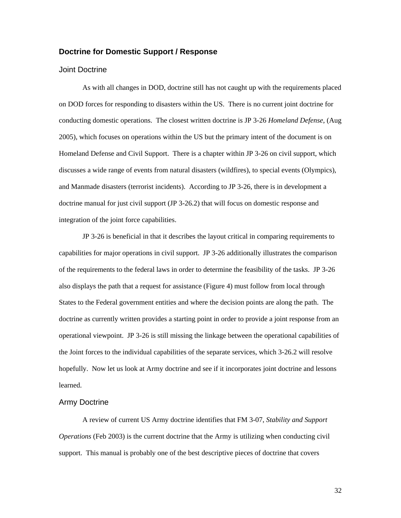#### <span id="page-37-0"></span>**Doctrine for Domestic Support / Response**

#### Joint Doctrine

As with all changes in DOD, doctrine still has not caught up with the requirements placed on DOD forces for responding to disasters within the US. There is no current joint doctrine for conducting domestic operations. The closest written doctrine is JP 3-26 *Homeland Defense*, (Aug 2005), which focuses on operations within the US but the primary intent of the document is on Homeland Defense and Civil Support. There is a chapter within JP 3-26 on civil support, which discusses a wide range of events from natural disasters (wildfires), to special events (Olympics), and Manmade disasters (terrorist incidents). According to JP 3-26, there is in development a doctrine manual for just civil support (JP 3-26.2) that will focus on domestic response and integration of the joint force capabilities.

JP 3-26 is beneficial in that it describes the layout critical in comparing requirements to capabilities for major operations in civil support. JP 3-26 additionally illustrates the comparison of the requirements to the federal laws in order to determine the feasibility of the tasks. JP 3-26 also displays the path that a request for assistance (Figure 4) must follow from local through States to the Federal government entities and where the decision points are along the path. The doctrine as currently written provides a starting point in order to provide a joint response from an operational viewpoint. JP 3-26 is still missing the linkage between the operational capabilities of the Joint forces to the individual capabilities of the separate services, which 3-26.2 will resolve hopefully. Now let us look at Army doctrine and see if it incorporates joint doctrine and lessons learned.

#### Army Doctrine

A review of current US Army doctrine identifies that FM 3-07, *Stability and Support Operations* (Feb 2003) is the current doctrine that the Army is utilizing when conducting civil support. This manual is probably one of the best descriptive pieces of doctrine that covers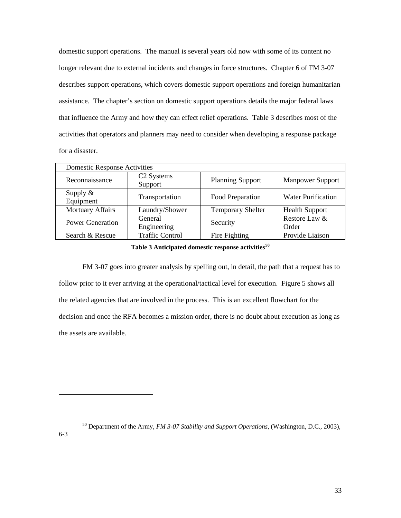domestic support operations. The manual is several years old now with some of its content no longer relevant due to external incidents and changes in force structures. Chapter 6 of FM 3-07 describes support operations, which covers domestic support operations and foreign humanitarian assistance. The chapter's section on domestic support operations details the major federal laws that influence the Army and how they can effect relief operations. Table 3 describes most of the activities that operators and planners may need to consider when developing a response package for a disaster.

| <b>Domestic Response Activities</b>               |                                   |                         |                           |
|---------------------------------------------------|-----------------------------------|-------------------------|---------------------------|
| Reconnaissance                                    | C <sub>2</sub> Systems<br>Support | <b>Planning Support</b> | <b>Manpower Support</b>   |
| Supply $\&$<br>Equipment                          | Transportation                    | Food Preparation        | <b>Water Purification</b> |
| Mortuary Affairs                                  | Laundry/Shower                    |                         | <b>Health Support</b>     |
| General<br><b>Power Generation</b><br>Engineering |                                   | Security                | Restore Law &<br>Order    |
| <b>Traffic Control</b><br>Search & Rescue         |                                   | Fire Fighting           | Provide Liaison           |

#### **Table 3 Anticipated domestic response activities[50](#page-38-0)**

FM 3-07 goes into greater analysis by spelling out, in detail, the path that a request has to follow prior to it ever arriving at the operational/tactical level for execution. Figure 5 shows all the related agencies that are involved in the process. This is an excellent flowchart for the decision and once the RFA becomes a mission order, there is no doubt about execution as long as the assets are available.

50 Department of the Army, *FM 3-07 Stability and Support Operations*, (Washington, D.C., 2003),

<span id="page-38-0"></span>6-3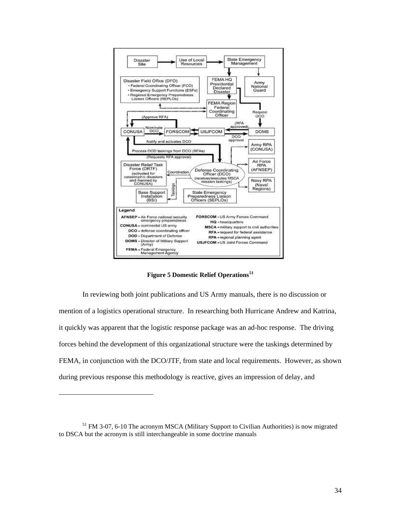<span id="page-39-0"></span>

**Figure 5 Domestic Relief Operations[51](#page-39-1)**

In reviewing both joint publications and US Army manuals, there is no discussion or mention of a logistics operational structure. In researching both Hurricane Andrew and Katrina, it quickly was apparent that the logistic response package was an ad-hoc response. The driving forces behind the development of this organizational structure were the taskings determined by FEMA, in conjunction with the DCO/JTF, from state and local requirements. However, as shown during previous response this methodology is reactive, gives an impression of delay, and

l

<span id="page-39-1"></span><sup>&</sup>lt;sup>51</sup> FM 3-07, 6-10 The acronym MSCA (Military Support to Civilian Authorities) is now migrated to DSCA but the acronym is still interchangeable in some doctrine manuals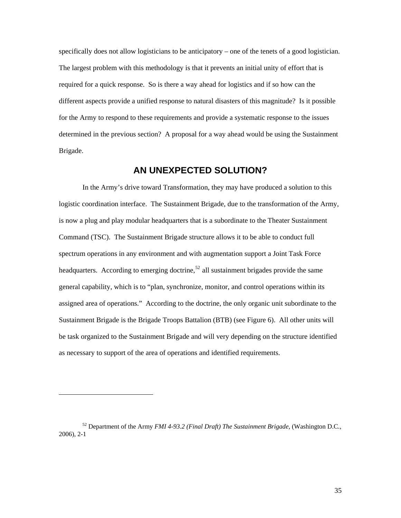<span id="page-40-0"></span>specifically does not allow logisticians to be anticipatory – one of the tenets of a good logistician. The largest problem with this methodology is that it prevents an initial unity of effort that is required for a quick response. So is there a way ahead for logistics and if so how can the different aspects provide a unified response to natural disasters of this magnitude? Is it possible for the Army to respond to these requirements and provide a systematic response to the issues determined in the previous section? A proposal for a way ahead would be using the Sustainment Brigade.

## **AN UNEXPECTED SOLUTION?**

In the Army's drive toward Transformation, they may have produced a solution to this logistic coordination interface. The Sustainment Brigade, due to the transformation of the Army, is now a plug and play modular headquarters that is a subordinate to the Theater Sustainment Command (TSC). The Sustainment Brigade structure allows it to be able to conduct full spectrum operations in any environment and with augmentation support a Joint Task Force headquarters. According to emerging doctrine,<sup>[52](#page-40-1)</sup> all sustainment brigades provide the same general capability, which is to "plan, synchronize, monitor, and control operations within its assigned area of operations." According to the doctrine, the only organic unit subordinate to the Sustainment Brigade is the Brigade Troops Battalion (BTB) (see Figure 6). All other units will be task organized to the Sustainment Brigade and will very depending on the structure identified as necessary to support of the area of operations and identified requirements.

<span id="page-40-1"></span><sup>52</sup> Department of the Army *FMI 4-93.2 (Final Draft) The Sustainment Brigade*, (Washington D.C., 2006), 2-1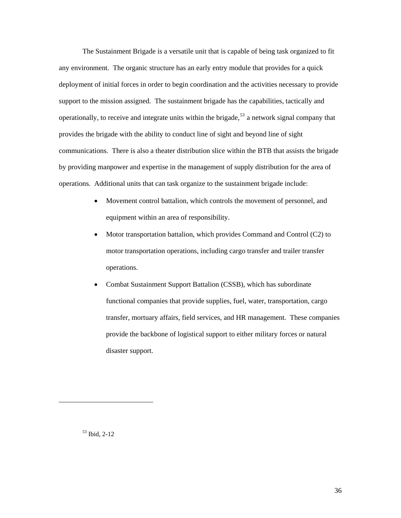The Sustainment Brigade is a versatile unit that is capable of being task organized to fit any environment. The organic structure has an early entry module that provides for a quick deployment of initial forces in order to begin coordination and the activities necessary to provide support to the mission assigned. The sustainment brigade has the capabilities, tactically and operationally, to receive and integrate units within the brigade,<sup>[53](#page-41-0)</sup> a network signal company that provides the brigade with the ability to conduct line of sight and beyond line of sight communications. There is also a theater distribution slice within the BTB that assists the brigade by providing manpower and expertise in the management of supply distribution for the area of operations. Additional units that can task organize to the sustainment brigade include:

- Movement control battalion, which controls the movement of personnel, and equipment within an area of responsibility.
- Motor transportation battalion, which provides Command and Control (C2) to motor transportation operations, including cargo transfer and trailer transfer operations.
- Combat Sustainment Support Battalion (CSSB), which has subordinate functional companies that provide supplies, fuel, water, transportation, cargo transfer, mortuary affairs, field services, and HR management. These companies provide the backbone of logistical support to either military forces or natural disaster support.

53 Ibid, 2-12

<span id="page-41-0"></span>l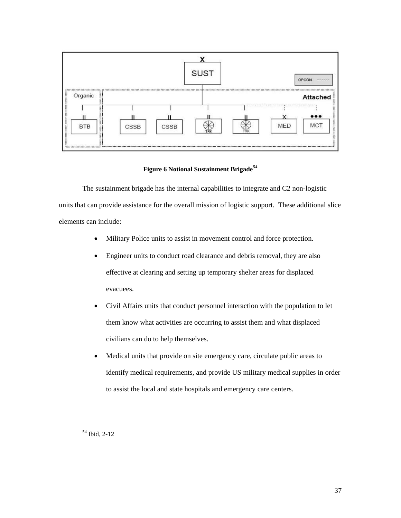<span id="page-42-0"></span>

#### **Figure 6 Notional Sustainment Brigade[54](#page-42-1)**

The sustainment brigade has the internal capabilities to integrate and C2 non-logistic units that can provide assistance for the overall mission of logistic support. These additional slice elements can include:

- Military Police units to assist in movement control and force protection.
- Engineer units to conduct road clearance and debris removal, they are also effective at clearing and setting up temporary shelter areas for displaced evacuees.
- Civil Affairs units that conduct personnel interaction with the population to let them know what activities are occurring to assist them and what displaced civilians can do to help themselves.
- Medical units that provide on site emergency care, circulate public areas to identify medical requirements, and provide US military medical supplies in order to assist the local and state hospitals and emergency care centers.

54 Ibid, 2-12

<span id="page-42-1"></span>l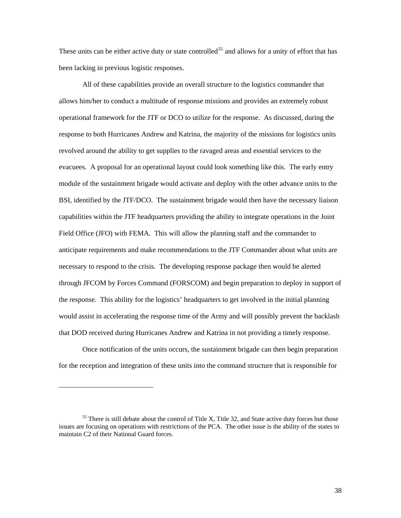These units can be either active duty or state controlled<sup>[55](#page-43-0)</sup> and allows for a unity of effort that has been lacking in previous logistic responses.

All of these capabilities provide an overall structure to the logistics commander that allows him/her to conduct a multitude of response missions and provides an extremely robust operational framework for the JTF or DCO to utilize for the response. As discussed, during the response to both Hurricanes Andrew and Katrina, the majority of the missions for logistics units revolved around the ability to get supplies to the ravaged areas and essential services to the evacuees. A proposal for an operational layout could look something like this. The early entry module of the sustainment brigade would activate and deploy with the other advance units to the BSI, identified by the JTF/DCO. The sustainment brigade would then have the necessary liaison capabilities within the JTF headquarters providing the ability to integrate operations in the Joint Field Office (JFO) with FEMA. This will allow the planning staff and the commander to anticipate requirements and make recommendations to the JTF Commander about what units are necessary to respond to the crisis. The developing response package then would be alerted through JFCOM by Forces Command (FORSCOM) and begin preparation to deploy in support of the response. This ability for the logistics' headquarters to get involved in the initial planning would assist in accelerating the response time of the Army and will possibly prevent the backlash that DOD received during Hurricanes Andrew and Katrina in not providing a timely response.

Once notification of the units occurs, the sustainment brigade can then begin preparation for the reception and integration of these units into the command structure that is responsible for

 $\overline{a}$ 

<span id="page-43-0"></span><sup>&</sup>lt;sup>55</sup> There is still debate about the control of Title X, Title 32, and State active duty forces but those issues are focusing on operations with restrictions of the PCA. The other issue is the ability of the states to maintain C2 of their National Guard forces.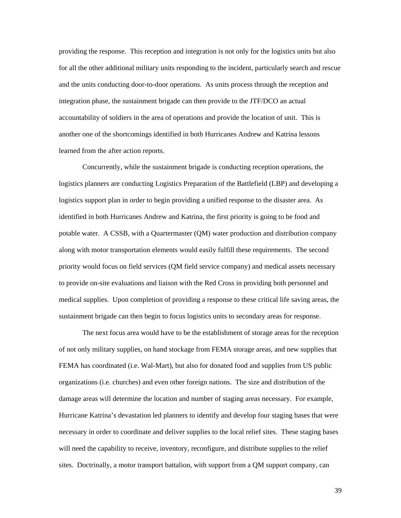providing the response. This reception and integration is not only for the logistics units but also for all the other additional military units responding to the incident, particularly search and rescue and the units conducting door-to-door operations. As units process through the reception and integration phase, the sustainment brigade can then provide to the JTF/DCO an actual accountability of soldiers in the area of operations and provide the location of unit. This is another one of the shortcomings identified in both Hurricanes Andrew and Katrina lessons learned from the after action reports.

Concurrently, while the sustainment brigade is conducting reception operations, the logistics planners are conducting Logistics Preparation of the Battlefield (LBP) and developing a logistics support plan in order to begin providing a unified response to the disaster area. As identified in both Hurricanes Andrew and Katrina, the first priority is going to be food and potable water. A CSSB, with a Quartermaster (QM) water production and distribution company along with motor transportation elements would easily fulfill these requirements. The second priority would focus on field services (QM field service company) and medical assets necessary to provide on-site evaluations and liaison with the Red Cross in providing both personnel and medical supplies. Upon completion of providing a response to these critical life saving areas, the sustainment brigade can then begin to focus logistics units to secondary areas for response.

The next focus area would have to be the establishment of storage areas for the reception of not only military supplies, on hand stockage from FEMA storage areas, and new supplies that FEMA has coordinated (i.e. Wal-Mart), but also for donated food and supplies from US public organizations (i.e. churches) and even other foreign nations. The size and distribution of the damage areas will determine the location and number of staging areas necessary. For example, Hurricane Katrina's devastation led planners to identify and develop four staging bases that were necessary in order to coordinate and deliver supplies to the local relief sites. These staging bases will need the capability to receive, inventory, reconfigure, and distribute supplies to the relief sites. Doctrinally, a motor transport battalion, with support from a QM support company, can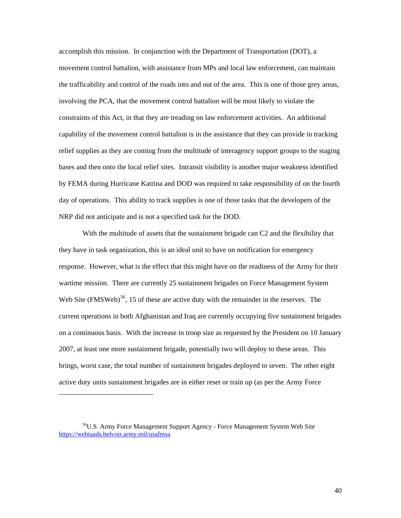accomplish this mission. In conjunction with the Department of Transportation (DOT), a movement control battalion, with assistance from MPs and local law enforcement, can maintain the trafficability and control of the roads into and out of the area. This is one of those grey areas, involving the PCA, that the movement control battalion will be most likely to violate the constraints of this Act, in that they are treading on law enforcement activities. An additional capability of the movement control battalion is in the assistance that they can provide in tracking relief supplies as they are coming from the multitude of interagency support groups to the staging bases and then onto the local relief sites. Intransit visibility is another major weakness identified by FEMA during Hurricane Katrina and DOD was required to take responsibility of on the fourth day of operations. This ability to track supplies is one of those tasks that the developers of the NRP did not anticipate and is not a specified task for the DOD.

With the multitude of assets that the sustainment brigade can C2 and the flexibility that they have in task organization, this is an ideal unit to have on notification for emergency response. However, what is the effect that this might have on the readiness of the Army for their wartime mission. There are currently 25 sustainment brigades on Force Management System Web Site (FMSWeb)<sup>[56](#page-45-0)</sup>, 15 of these are active duty with the remainder in the reserves. The current operations in both Afghanistan and Iraq are currently occupying five sustainment brigades on a continuous basis. With the increase in troop size as requested by the President on 10 January 2007, at least one more sustainment brigade, potentially two will deploy to these areas. This brings, worst case, the total number of sustainment brigades deployed to seven. The other eight active duty units sustainment brigades are in either reset or train up (as per the Army Force

<span id="page-45-0"></span><sup>56</sup>U.S. Army Force Management Support Agency - Force Management System Web Site <https://webtaads.belvoir.army.mil/usafmsa>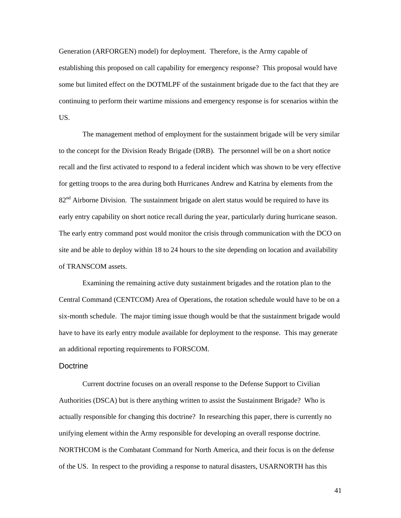<span id="page-46-0"></span>Generation (ARFORGEN) model) for deployment. Therefore, is the Army capable of establishing this proposed on call capability for emergency response? This proposal would have some but limited effect on the DOTMLPF of the sustainment brigade due to the fact that they are continuing to perform their wartime missions and emergency response is for scenarios within the US.

The management method of employment for the sustainment brigade will be very similar to the concept for the Division Ready Brigade (DRB). The personnel will be on a short notice recall and the first activated to respond to a federal incident which was shown to be very effective for getting troops to the area during both Hurricanes Andrew and Katrina by elements from the  $82<sup>nd</sup>$  Airborne Division. The sustainment brigade on alert status would be required to have its early entry capability on short notice recall during the year, particularly during hurricane season. The early entry command post would monitor the crisis through communication with the DCO on site and be able to deploy within 18 to 24 hours to the site depending on location and availability of TRANSCOM assets.

Examining the remaining active duty sustainment brigades and the rotation plan to the Central Command (CENTCOM) Area of Operations, the rotation schedule would have to be on a six-month schedule. The major timing issue though would be that the sustainment brigade would have to have its early entry module available for deployment to the response. This may generate an additional reporting requirements to FORSCOM.

#### **Doctrine**

Current doctrine focuses on an overall response to the Defense Support to Civilian Authorities (DSCA) but is there anything written to assist the Sustainment Brigade? Who is actually responsible for changing this doctrine? In researching this paper, there is currently no unifying element within the Army responsible for developing an overall response doctrine. NORTHCOM is the Combatant Command for North America, and their focus is on the defense of the US. In respect to the providing a response to natural disasters, USARNORTH has this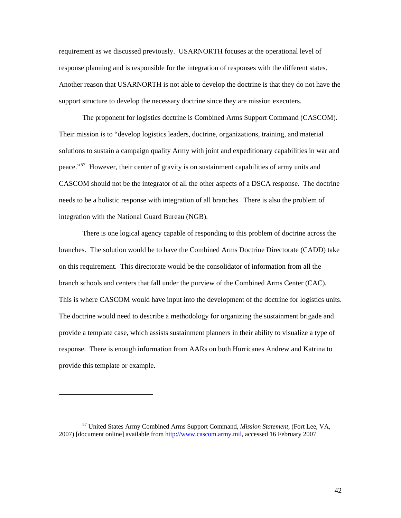requirement as we discussed previously. USARNORTH focuses at the operational level of response planning and is responsible for the integration of responses with the different states. Another reason that USARNORTH is not able to develop the doctrine is that they do not have the support structure to develop the necessary doctrine since they are mission executers.

The proponent for logistics doctrine is Combined Arms Support Command (CASCOM). Their mission is to "develop logistics leaders, doctrine, organizations, training, and material solutions to sustain a campaign quality Army with joint and expeditionary capabilities in war and peace."<sup>[57](#page-47-0)</sup> However, their center of gravity is on sustainment capabilities of army units and CASCOM should not be the integrator of all the other aspects of a DSCA response. The doctrine needs to be a holistic response with integration of all branches. There is also the problem of integration with the National Guard Bureau (NGB).

There is one logical agency capable of responding to this problem of doctrine across the branches. The solution would be to have the Combined Arms Doctrine Directorate (CADD) take on this requirement. This directorate would be the consolidator of information from all the branch schools and centers that fall under the purview of the Combined Arms Center (CAC). This is where CASCOM would have input into the development of the doctrine for logistics units. The doctrine would need to describe a methodology for organizing the sustainment brigade and provide a template case, which assists sustainment planners in their ability to visualize a type of response. There is enough information from AARs on both Hurricanes Andrew and Katrina to provide this template or example.

<span id="page-47-0"></span><sup>57</sup> United States Army Combined Arms Support Command, *Mission Statement*, (Fort Lee, VA, 2007) [document online] available from [http://www.cascom.army.mil](http://www.cascom.army.mil/), accessed 16 February 2007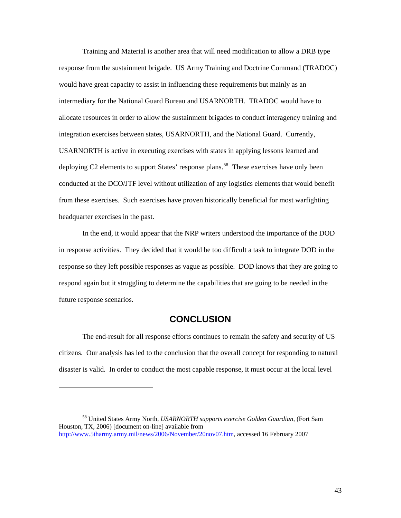<span id="page-48-0"></span>Training and Material is another area that will need modification to allow a DRB type response from the sustainment brigade. US Army Training and Doctrine Command (TRADOC) would have great capacity to assist in influencing these requirements but mainly as an intermediary for the National Guard Bureau and USARNORTH. TRADOC would have to allocate resources in order to allow the sustainment brigades to conduct interagency training and integration exercises between states, USARNORTH, and the National Guard. Currently, USARNORTH is active in executing exercises with states in applying lessons learned and deploying C2 elements to support States' response plans.<sup>[58](#page-48-1)</sup> These exercises have only been conducted at the DCO/JTF level without utilization of any logistics elements that would benefit from these exercises. Such exercises have proven historically beneficial for most warfighting headquarter exercises in the past.

In the end, it would appear that the NRP writers understood the importance of the DOD in response activities. They decided that it would be too difficult a task to integrate DOD in the response so they left possible responses as vague as possible. DOD knows that they are going to respond again but it struggling to determine the capabilities that are going to be needed in the future response scenarios.

### **CONCLUSION**

The end-result for all response efforts continues to remain the safety and security of US citizens. Our analysis has led to the conclusion that the overall concept for responding to natural disaster is valid. In order to conduct the most capable response, it must occur at the local level

l

<span id="page-48-1"></span><sup>58</sup> United States Army North, *USARNORTH supports exercise Golden Guardian*, (Fort Sam Houston, TX, 2006) [document on-line] available from <http://www.5tharmy.army.mil/news/2006/November/20nov07.htm>, accessed 16 February 2007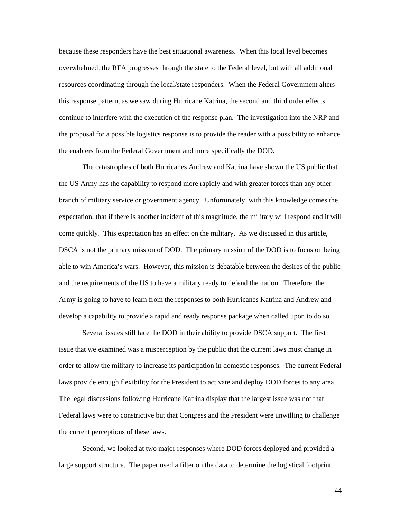because these responders have the best situational awareness. When this local level becomes overwhelmed, the RFA progresses through the state to the Federal level, but with all additional resources coordinating through the local/state responders. When the Federal Government alters this response pattern, as we saw during Hurricane Katrina, the second and third order effects continue to interfere with the execution of the response plan. The investigation into the NRP and the proposal for a possible logistics response is to provide the reader with a possibility to enhance the enablers from the Federal Government and more specifically the DOD.

The catastrophes of both Hurricanes Andrew and Katrina have shown the US public that the US Army has the capability to respond more rapidly and with greater forces than any other branch of military service or government agency. Unfortunately, with this knowledge comes the expectation, that if there is another incident of this magnitude, the military will respond and it will come quickly. This expectation has an effect on the military. As we discussed in this article, DSCA is not the primary mission of DOD. The primary mission of the DOD is to focus on being able to win America's wars. However, this mission is debatable between the desires of the public and the requirements of the US to have a military ready to defend the nation. Therefore, the Army is going to have to learn from the responses to both Hurricanes Katrina and Andrew and develop a capability to provide a rapid and ready response package when called upon to do so.

Several issues still face the DOD in their ability to provide DSCA support. The first issue that we examined was a misperception by the public that the current laws must change in order to allow the military to increase its participation in domestic responses. The current Federal laws provide enough flexibility for the President to activate and deploy DOD forces to any area. The legal discussions following Hurricane Katrina display that the largest issue was not that Federal laws were to constrictive but that Congress and the President were unwilling to challenge the current perceptions of these laws.

Second, we looked at two major responses where DOD forces deployed and provided a large support structure. The paper used a filter on the data to determine the logistical footprint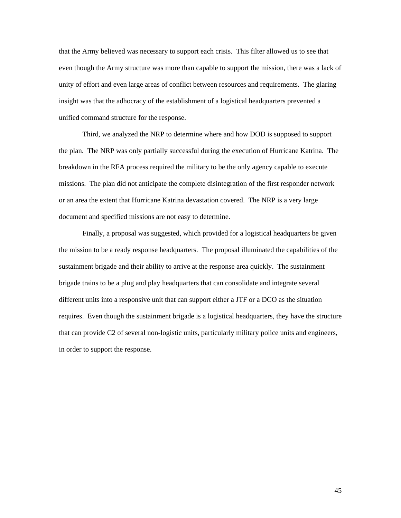that the Army believed was necessary to support each crisis. This filter allowed us to see that even though the Army structure was more than capable to support the mission, there was a lack of unity of effort and even large areas of conflict between resources and requirements. The glaring insight was that the adhocracy of the establishment of a logistical headquarters prevented a unified command structure for the response.

Third, we analyzed the NRP to determine where and how DOD is supposed to support the plan. The NRP was only partially successful during the execution of Hurricane Katrina. The breakdown in the RFA process required the military to be the only agency capable to execute missions. The plan did not anticipate the complete disintegration of the first responder network or an area the extent that Hurricane Katrina devastation covered. The NRP is a very large document and specified missions are not easy to determine.

Finally, a proposal was suggested, which provided for a logistical headquarters be given the mission to be a ready response headquarters. The proposal illuminated the capabilities of the sustainment brigade and their ability to arrive at the response area quickly. The sustainment brigade trains to be a plug and play headquarters that can consolidate and integrate several different units into a responsive unit that can support either a JTF or a DCO as the situation requires. Even though the sustainment brigade is a logistical headquarters, they have the structure that can provide C2 of several non-logistic units, particularly military police units and engineers, in order to support the response.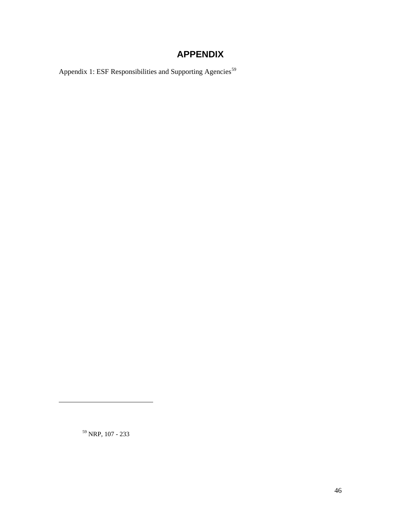## **APPENDIX**

<span id="page-51-0"></span>Appendix 1: ESF Responsibilities and Supporting Agencies<sup>[59](#page-51-1)</sup>

<span id="page-51-1"></span>59 NRP, 107 - 233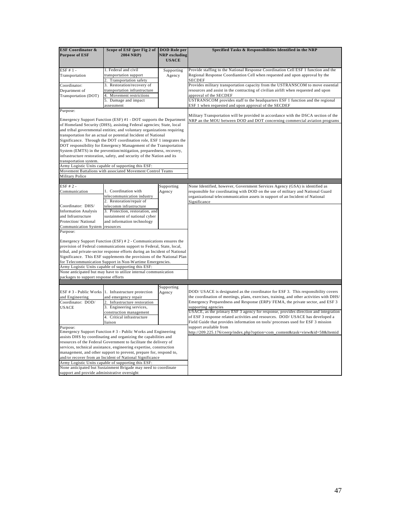| <b>ESF Coordinator &amp;</b><br><b>Purpose of ESF</b>                                                                                                                                                                                                                                                                                                                                                                                                                                                                   | Scope of ESF (per Fig 2 of<br>2004 NRP)                                                                                                                                                                                                                                                                                                                                                                                                                                                   | <b>DOD</b> Role per<br><b>NRP</b> excluding<br><b>USACE</b> | Specified Tasks & Responsibilities Identified in the NRP                                                                                                                                                                                                                                                                                                                                                                                                                                                                                          |
|-------------------------------------------------------------------------------------------------------------------------------------------------------------------------------------------------------------------------------------------------------------------------------------------------------------------------------------------------------------------------------------------------------------------------------------------------------------------------------------------------------------------------|-------------------------------------------------------------------------------------------------------------------------------------------------------------------------------------------------------------------------------------------------------------------------------------------------------------------------------------------------------------------------------------------------------------------------------------------------------------------------------------------|-------------------------------------------------------------|---------------------------------------------------------------------------------------------------------------------------------------------------------------------------------------------------------------------------------------------------------------------------------------------------------------------------------------------------------------------------------------------------------------------------------------------------------------------------------------------------------------------------------------------------|
| ESF #1-                                                                                                                                                                                                                                                                                                                                                                                                                                                                                                                 | 1. Federal and civil<br>transportation support                                                                                                                                                                                                                                                                                                                                                                                                                                            | Supporting                                                  | Provide staffing to the National Response Coordination Cell ESF 1 function and the<br>Regional Response Coordiantion Cell when requested and upon approval by the                                                                                                                                                                                                                                                                                                                                                                                 |
| Transportation                                                                                                                                                                                                                                                                                                                                                                                                                                                                                                          | Transportation safety                                                                                                                                                                                                                                                                                                                                                                                                                                                                     | Agency                                                      | SECDEF                                                                                                                                                                                                                                                                                                                                                                                                                                                                                                                                            |
| Coordinator:                                                                                                                                                                                                                                                                                                                                                                                                                                                                                                            | 3. Restoration/recovery of                                                                                                                                                                                                                                                                                                                                                                                                                                                                |                                                             | Provides military transportation capacity from the USTRANSCOM to move essential                                                                                                                                                                                                                                                                                                                                                                                                                                                                   |
| Department of                                                                                                                                                                                                                                                                                                                                                                                                                                                                                                           | transportation infrastructure                                                                                                                                                                                                                                                                                                                                                                                                                                                             |                                                             | resources and assist in the contracting of civilian airlift when requested and upon                                                                                                                                                                                                                                                                                                                                                                                                                                                               |
| Transportation (DOT)                                                                                                                                                                                                                                                                                                                                                                                                                                                                                                    | 4.<br>Movement restrictions                                                                                                                                                                                                                                                                                                                                                                                                                                                               |                                                             | approval of the SECDEF                                                                                                                                                                                                                                                                                                                                                                                                                                                                                                                            |
|                                                                                                                                                                                                                                                                                                                                                                                                                                                                                                                         | 5. Damage and impact                                                                                                                                                                                                                                                                                                                                                                                                                                                                      |                                                             | USTRANSCOM provides staff to the headquarters ESF 1 function and the regional                                                                                                                                                                                                                                                                                                                                                                                                                                                                     |
|                                                                                                                                                                                                                                                                                                                                                                                                                                                                                                                         | assessment                                                                                                                                                                                                                                                                                                                                                                                                                                                                                |                                                             | ESF 1 when requested and upon approval of the SECDEF                                                                                                                                                                                                                                                                                                                                                                                                                                                                                              |
| Purpose:<br>Emergency Support Function (ESF) #1 - DOT supports the Department<br>of Homeland Security (DHS), assisting Federal agencies; State, local<br>and tribal governmental entities; and voluntary organizations requiring<br>transportation for an actual or potential Incident of National<br>Significance. Through the DOT coordination role, ESF 1 integrates the<br>DOT responsibility for Emergency Management of the Transportation<br>System (EMTS) in the prevention/mitigation, preparedness, recovery, |                                                                                                                                                                                                                                                                                                                                                                                                                                                                                           |                                                             | Military Transportation will be provided in accordance with the DSCA section of the<br>NRP an the MOU between DOD and DOT concerning commercial aviation programs                                                                                                                                                                                                                                                                                                                                                                                 |
|                                                                                                                                                                                                                                                                                                                                                                                                                                                                                                                         | infrastructure restoration, safety, and security of the Nation and its                                                                                                                                                                                                                                                                                                                                                                                                                    |                                                             |                                                                                                                                                                                                                                                                                                                                                                                                                                                                                                                                                   |
| transportation system.                                                                                                                                                                                                                                                                                                                                                                                                                                                                                                  |                                                                                                                                                                                                                                                                                                                                                                                                                                                                                           |                                                             |                                                                                                                                                                                                                                                                                                                                                                                                                                                                                                                                                   |
|                                                                                                                                                                                                                                                                                                                                                                                                                                                                                                                         | Army Logistic Units capable of supporting this ESF:                                                                                                                                                                                                                                                                                                                                                                                                                                       |                                                             |                                                                                                                                                                                                                                                                                                                                                                                                                                                                                                                                                   |
|                                                                                                                                                                                                                                                                                                                                                                                                                                                                                                                         | Movement Battalions with associated Movement Control Teams                                                                                                                                                                                                                                                                                                                                                                                                                                |                                                             |                                                                                                                                                                                                                                                                                                                                                                                                                                                                                                                                                   |
| <b>Military Police</b>                                                                                                                                                                                                                                                                                                                                                                                                                                                                                                  |                                                                                                                                                                                                                                                                                                                                                                                                                                                                                           |                                                             |                                                                                                                                                                                                                                                                                                                                                                                                                                                                                                                                                   |
| $ESF # 2 -$                                                                                                                                                                                                                                                                                                                                                                                                                                                                                                             |                                                                                                                                                                                                                                                                                                                                                                                                                                                                                           |                                                             |                                                                                                                                                                                                                                                                                                                                                                                                                                                                                                                                                   |
| Communication                                                                                                                                                                                                                                                                                                                                                                                                                                                                                                           | 1. Coordination with                                                                                                                                                                                                                                                                                                                                                                                                                                                                      | Supporting                                                  | None Identified, however, Government Services Agency (GSA) is identified as                                                                                                                                                                                                                                                                                                                                                                                                                                                                       |
|                                                                                                                                                                                                                                                                                                                                                                                                                                                                                                                         | telecommunication industry                                                                                                                                                                                                                                                                                                                                                                                                                                                                | Agency                                                      | responsible for coordinating with DOD on the use of military and National Guard<br>organizational telecommunication assets in support of an Incident of National                                                                                                                                                                                                                                                                                                                                                                                  |
|                                                                                                                                                                                                                                                                                                                                                                                                                                                                                                                         | 2. Restoration/repair of                                                                                                                                                                                                                                                                                                                                                                                                                                                                  |                                                             | Significance                                                                                                                                                                                                                                                                                                                                                                                                                                                                                                                                      |
| Coordinator: DHS/                                                                                                                                                                                                                                                                                                                                                                                                                                                                                                       | telecomm infrastructure                                                                                                                                                                                                                                                                                                                                                                                                                                                                   |                                                             |                                                                                                                                                                                                                                                                                                                                                                                                                                                                                                                                                   |
| <b>Information Analysis</b>                                                                                                                                                                                                                                                                                                                                                                                                                                                                                             | 3. Protection, restoration, and                                                                                                                                                                                                                                                                                                                                                                                                                                                           |                                                             |                                                                                                                                                                                                                                                                                                                                                                                                                                                                                                                                                   |
| and Infrastructure                                                                                                                                                                                                                                                                                                                                                                                                                                                                                                      | sustainment of national cyber                                                                                                                                                                                                                                                                                                                                                                                                                                                             |                                                             |                                                                                                                                                                                                                                                                                                                                                                                                                                                                                                                                                   |
| Protection/National                                                                                                                                                                                                                                                                                                                                                                                                                                                                                                     | and information technology                                                                                                                                                                                                                                                                                                                                                                                                                                                                |                                                             |                                                                                                                                                                                                                                                                                                                                                                                                                                                                                                                                                   |
| Communication System resources                                                                                                                                                                                                                                                                                                                                                                                                                                                                                          |                                                                                                                                                                                                                                                                                                                                                                                                                                                                                           |                                                             |                                                                                                                                                                                                                                                                                                                                                                                                                                                                                                                                                   |
| Purpose:                                                                                                                                                                                                                                                                                                                                                                                                                                                                                                                | Emergency Support Function (ESF) # 2 - Communications ensures the<br>provision of Federal communications support to Federal, State, local,<br>tribal, and private-sector response efforts during an Incident of National<br>Significance. This ESF supplements the provisions of the National Plan<br>for Telecommunication Support in Non-Wartime Emergencies.<br>Army Logistic Units capable of supporting this ESF:<br>None anticipated but may have to utilize internal communication |                                                             |                                                                                                                                                                                                                                                                                                                                                                                                                                                                                                                                                   |
| packages to support response efforts                                                                                                                                                                                                                                                                                                                                                                                                                                                                                    |                                                                                                                                                                                                                                                                                                                                                                                                                                                                                           |                                                             |                                                                                                                                                                                                                                                                                                                                                                                                                                                                                                                                                   |
|                                                                                                                                                                                                                                                                                                                                                                                                                                                                                                                         |                                                                                                                                                                                                                                                                                                                                                                                                                                                                                           |                                                             |                                                                                                                                                                                                                                                                                                                                                                                                                                                                                                                                                   |
| and Engineering<br>Coordinator: DOD/<br><b>USACE</b>                                                                                                                                                                                                                                                                                                                                                                                                                                                                    | ESF # 3 - Public Works 1. Infrastructure protection<br>and emergency repair<br>2.<br>Infrastructure restoration<br>3. Engineering services,<br>construction management<br>4. Critical infrastructure<br>liaison                                                                                                                                                                                                                                                                           | Supporting<br>Agency                                        | DOD/USACE is designated as the coordinator for ESF 3. This responsibility covers<br>the coordination of meetings, plans, exercises, training, and other activities with DHS/<br>Emergency Preparedness and Response (ERP)/ FEMA, the private sector, and ESF 3<br>supporting agencies<br>USACE, as the primary ESF 3 agency for response, provides direction and integration<br>of ESF 3 response related activities and resources. DOD/ USACE has developed a<br>Field Guide that provides information on tools/processes used for ESF 3 mission |
| Purpose:                                                                                                                                                                                                                                                                                                                                                                                                                                                                                                                |                                                                                                                                                                                                                                                                                                                                                                                                                                                                                           |                                                             | support available from                                                                                                                                                                                                                                                                                                                                                                                                                                                                                                                            |
| Emergency Support Function #3 - Public Works and Engineering<br>assists DHS by coordinating and organizing the capabilities and<br>resources of the Federal Government to facilitate the delivery of<br>services, technical assistance, engineering expertise, construction<br>management, and other support to prevent, prepare for, respond to,<br>and/or recover from an Incident of National Significance<br>Army Logistic Units capable of supporting this ESF:                                                    |                                                                                                                                                                                                                                                                                                                                                                                                                                                                                           |                                                             | http://209.225.176/ceerp/index.php?option=com_content&task=view&id=58&Itemid                                                                                                                                                                                                                                                                                                                                                                                                                                                                      |
|                                                                                                                                                                                                                                                                                                                                                                                                                                                                                                                         | None anticipated but Sustainment Brigade may need to coordinate                                                                                                                                                                                                                                                                                                                                                                                                                           |                                                             |                                                                                                                                                                                                                                                                                                                                                                                                                                                                                                                                                   |
| support and provide administrative oversight                                                                                                                                                                                                                                                                                                                                                                                                                                                                            |                                                                                                                                                                                                                                                                                                                                                                                                                                                                                           |                                                             |                                                                                                                                                                                                                                                                                                                                                                                                                                                                                                                                                   |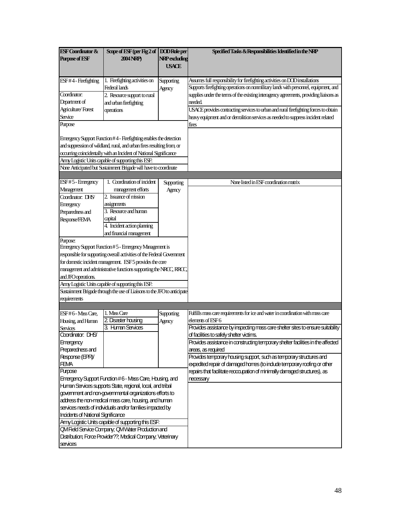| <b>ESF Coordinator &amp;</b>              | Scope of ESF (per Fig 2 of DOD Role per                                                                                         |                      | Specified Tasks & Responsibilities Identified in the NRP                                                                     |
|-------------------------------------------|---------------------------------------------------------------------------------------------------------------------------------|----------------------|------------------------------------------------------------------------------------------------------------------------------|
| <b>Purpose of ESF</b>                     | 2004 NRP)                                                                                                                       | <b>NRP</b> excluding |                                                                                                                              |
|                                           |                                                                                                                                 | <b>USACE</b>         |                                                                                                                              |
|                                           | 1. Firefighting activities on                                                                                                   |                      | Assumes full responsibility for firefighting activities on DOD installations                                                 |
| ESF#4 - Firefighting                      | Federal lands                                                                                                                   | Supporting           | Supports firefighting operations on nonmilitary lands with personnel, equipment, and                                         |
| Coordinator:                              | 2. Resource support to rural                                                                                                    | Agency               | supplies under the terms of the existing interagency agreements, providing liaisons as                                       |
| Department of                             | and urban firefighting                                                                                                          |                      | needed.                                                                                                                      |
| Agriculture/Forest                        |                                                                                                                                 |                      | USACE provides contracting services to urban and rural firefighting forces to obtain                                         |
| Service                                   | operations                                                                                                                      |                      |                                                                                                                              |
| <b>Purpose</b>                            |                                                                                                                                 |                      | heavy equipment and or demolition services as needed to suppress incident related                                            |
|                                           |                                                                                                                                 |                      | fires                                                                                                                        |
|                                           | Errergency Support Function #4 - Firefighting enables the detection                                                             |                      |                                                                                                                              |
|                                           | and suppression of wildland, rural, and urban fires resulting from, or                                                          |                      |                                                                                                                              |
|                                           | occurring coincidentally with an Incident of National Significance                                                              |                      |                                                                                                                              |
|                                           | Arry Logistic Units capable of supporting this ESF.                                                                             |                      |                                                                                                                              |
|                                           | None Anticipated but Sustainment Brigade will have to coordinate                                                                |                      |                                                                                                                              |
|                                           |                                                                                                                                 |                      |                                                                                                                              |
| ESF#5-Emergency                           | 1. Coordination of incident                                                                                                     |                      | None listed in ESF coordination matrix                                                                                       |
| Management                                | management efforts                                                                                                              | Supporting           |                                                                                                                              |
| Coordinator: DHS                          | 2. Issuance of mission                                                                                                          | Agency               |                                                                                                                              |
|                                           | assignments                                                                                                                     |                      |                                                                                                                              |
| Emergency                                 | 3. Resource and human                                                                                                           |                      |                                                                                                                              |
| Preparedness and                          |                                                                                                                                 |                      |                                                                                                                              |
| Response/FEMA                             | capital<br>4. Incident action planning                                                                                          |                      |                                                                                                                              |
|                                           |                                                                                                                                 |                      |                                                                                                                              |
|                                           | and financial management                                                                                                        |                      |                                                                                                                              |
| Purpose:                                  | Energency Support Function #5 - Energency Management is                                                                         |                      |                                                                                                                              |
|                                           | responsible for supporting overall activities of the Federal Government                                                         |                      |                                                                                                                              |
|                                           | for domestic incident management. ESF 5 provides the core                                                                       |                      |                                                                                                                              |
|                                           | management and administrative functions supporting the NRCC, RRCC,                                                              |                      |                                                                                                                              |
|                                           |                                                                                                                                 |                      |                                                                                                                              |
| and JFO operations.                       |                                                                                                                                 |                      |                                                                                                                              |
|                                           | Arry Logistic Units capable of supporting this ESF.<br>Sustainment Brigade through the use of Liaisons to the JFO to anticipate |                      |                                                                                                                              |
|                                           |                                                                                                                                 |                      |                                                                                                                              |
| requirements                              |                                                                                                                                 |                      |                                                                                                                              |
|                                           | 1. Mass Care                                                                                                                    |                      | Fulfills mass care requirements for ice and water in coordination with mass care                                             |
| ESF#6 - Mass Care,                        |                                                                                                                                 | Supporting           |                                                                                                                              |
| Housing, and Human                        | 2. Disaster housing<br>3. Human Services                                                                                        | Agency               | elements of ESF6<br>Provides assistance by inspecting mass care shelter sites to ensure suitability                          |
| Services<br>Coordinator: DHS              |                                                                                                                                 |                      |                                                                                                                              |
|                                           |                                                                                                                                 |                      | of facilities to safely shelter victims.<br>Provides assistance in constructing temporary shelter facilities in the affected |
| Emergency                                 |                                                                                                                                 |                      |                                                                                                                              |
| Preparedness and<br>Response (EPR)        |                                                                                                                                 |                      | areas, as required<br>Provides temporary housing support, such as temporary structures and                                   |
| <b>FEMA</b>                               |                                                                                                                                 |                      | expedited repair of damaged homes (to indude temporary roofing or other                                                      |
| <b>Purpose</b>                            |                                                                                                                                 |                      | repairs that facilitate recocupation of minimally damaged structures), as                                                    |
|                                           | Emergency Support Function #6 - Mass Care, Housing, and                                                                         |                      |                                                                                                                              |
|                                           | Human Services supports State, regional, local, and tribal                                                                      |                      | necessary                                                                                                                    |
|                                           | government and non-governmental organizations efforts to                                                                        |                      |                                                                                                                              |
|                                           | address the non-medical mass care, housing, and human                                                                           |                      |                                                                                                                              |
|                                           |                                                                                                                                 |                      |                                                                                                                              |
|                                           | services needs of individuals and/or families impacted by                                                                       |                      |                                                                                                                              |
| <b>Incidents of National Significance</b> | Army Logistic Units capable of supporting this ESF:                                                                             |                      |                                                                                                                              |
|                                           | <b>QMField Service Company, QMWater Production and</b>                                                                          |                      |                                                                                                                              |
|                                           | Distribution; Force Provider??; Medical Company; Veterinary                                                                     |                      |                                                                                                                              |
|                                           |                                                                                                                                 |                      |                                                                                                                              |
| services                                  |                                                                                                                                 |                      |                                                                                                                              |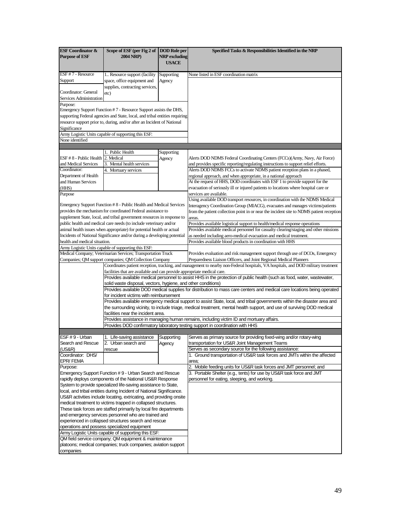| <b>ESF Coordinator &amp;</b><br><b>Purpose of ESF</b> | Scope of ESF (per Fig 2 of<br><b>2004 NRP</b> )                                                                                    | <b>DOD</b> Role per<br><b>NRP</b> excluding | Specified Tasks & Responsibilities Identified in the NRP                                                                          |
|-------------------------------------------------------|------------------------------------------------------------------------------------------------------------------------------------|---------------------------------------------|-----------------------------------------------------------------------------------------------------------------------------------|
|                                                       |                                                                                                                                    | <b>USACE</b>                                |                                                                                                                                   |
| ESF #7 - Resource                                     | 1. Resource support (facility                                                                                                      | Supporting                                  | None listed in ESF coordination matrix                                                                                            |
| Support                                               | space, office equipment and                                                                                                        | Agency                                      |                                                                                                                                   |
|                                                       | supplies, contracting services,                                                                                                    |                                             |                                                                                                                                   |
| Coordinator: General                                  | etc)                                                                                                                               |                                             |                                                                                                                                   |
| Services Administration                               |                                                                                                                                    |                                             |                                                                                                                                   |
| Purpose:                                              |                                                                                                                                    |                                             |                                                                                                                                   |
|                                                       | Emergency Support Function #7 - Resource Support assists the DHS,                                                                  |                                             |                                                                                                                                   |
|                                                       | supporting Federal agencies and State, local, and tribal entities requiring                                                        |                                             |                                                                                                                                   |
|                                                       | resource support prior to, during, and/or after an Incident of National                                                            |                                             |                                                                                                                                   |
| Significance                                          |                                                                                                                                    |                                             |                                                                                                                                   |
| None identified                                       | Army Logistic Units capable of supporting this ESF:                                                                                |                                             |                                                                                                                                   |
|                                                       |                                                                                                                                    |                                             |                                                                                                                                   |
|                                                       | 1. Public Health                                                                                                                   | Supporting                                  |                                                                                                                                   |
| ESF #8 - Public Health 2. Medical                     |                                                                                                                                    | Agency                                      | Alerts DOD NDMS Federal Coordinating Centers (FCCs)(Army, Navy, Air Force)                                                        |
| and Medical Services                                  | Mental health services<br>3.                                                                                                       |                                             | and provides specific reporting/regulating instructions to support relief efforts.                                                |
| Coordinator:                                          | 4. Mortuary services                                                                                                               |                                             | Alerts DOD NDMS FCCs to activate NDMS patient reception plans in a phased,                                                        |
| Department of Health                                  |                                                                                                                                    |                                             | regional approach, and when appropriate, in a national approach                                                                   |
| and Human Services                                    |                                                                                                                                    |                                             | At the request of HHS, DOD coordinates with ESF 1 to provide support for the                                                      |
| (HHS)                                                 |                                                                                                                                    |                                             | evacuation of seriously ill or injured patients to locations where hospital care or                                               |
| Purpose                                               |                                                                                                                                    |                                             | services are available.                                                                                                           |
|                                                       |                                                                                                                                    |                                             | Using available DOD transport resources, in coordination with the NDMS Medical                                                    |
|                                                       | Emergency Support Function #8 - Public Health and Medical Services<br>provides the mechanism for coordinated Federal assistance to |                                             | Interagency Coordination Group (MIACG), evacuates and manages victims/patients                                                    |
|                                                       | supplement State, local, and tribal government resources in response to                                                            |                                             | from the patient collection point in or near the incident site to NDMS patient reception                                          |
|                                                       | public health and medical care needs (to include veterinary and/or                                                                 |                                             | areas.<br>Provides available logistical support to health/medical response operations                                             |
|                                                       | animal health issues when appropriate) for potential health or actual                                                              |                                             | Provides available medical personnel for casualty clearing/staging and other missions                                             |
|                                                       | Incidents of National Significance and/or during a developing potential                                                            |                                             | as needed including aero-medical evacuation and medical treatment.                                                                |
| health and medical situation.                         |                                                                                                                                    |                                             | Provides available blood products in coordination with HHS                                                                        |
|                                                       | Army Logistic Units capable of supporting this ESF:                                                                                |                                             |                                                                                                                                   |
|                                                       | Medical Company; Veterinarian Services; Transportation Truck                                                                       |                                             | Provides evaluation and risk management support through use of DCOs, Emergency                                                    |
|                                                       | Companies; QM support companies; QM Collection Company                                                                             |                                             | Preparedness Liaison Officers, and Joint Regional Medical Planners                                                                |
|                                                       |                                                                                                                                    |                                             | Coordinates patient reception, tracking, and management to nearby non-Federal hospitals, VA hospitals, and DOD military treatment |
|                                                       | facilities that are available and can provide appropriate medical care.                                                            |                                             |                                                                                                                                   |
|                                                       | solid waste disposal, vectors, hygiene, and other conditions)                                                                      |                                             | Provides available medical personnel to assist HHS in the protection of public health (such as food, water, wastewater,           |
|                                                       |                                                                                                                                    |                                             | Provides available DOD medical supplies for distribution to mass care centers and medical care locations being operated           |
|                                                       | for incident victims with reimbursement                                                                                            |                                             |                                                                                                                                   |
|                                                       |                                                                                                                                    |                                             | Provides available emergency medical support to assist State, local, and tribal governments within the disaster area and          |
|                                                       |                                                                                                                                    |                                             | the surrounding vicinity, to include triage, medical treatment, mental health support, and use of surviving DOD medical           |
|                                                       | facilities near the incident area.                                                                                                 |                                             |                                                                                                                                   |
|                                                       |                                                                                                                                    |                                             | Provides assistance in managing human remains, including victim ID and mortuary affairs.                                          |
|                                                       |                                                                                                                                    |                                             | Provides DOD confirmatory laboratory testing support in coordination with HHS                                                     |
| ESF #9 - Urban                                        | 1. Life-saving assistance                                                                                                          | Supporting                                  | Serves as primary source for providing fixed-wing and/or rotary-wing                                                              |
| Search and Rescue                                     | 2. Urban search and                                                                                                                | Agency                                      | transportation for US&R Joint Management Teams                                                                                    |
| (US&R)                                                | rescue                                                                                                                             |                                             | Serves as secondary source for the following assistance:                                                                          |
| Coordinator: DHS/                                     |                                                                                                                                    |                                             | 1. Ground transportation of US&R task forces and JMTs within the affected                                                         |
| EPR/FEMA                                              |                                                                                                                                    |                                             | area;                                                                                                                             |
| Purpose:                                              |                                                                                                                                    |                                             | 2.<br>Mobile feeding units for US&R task forces and JMT personnel; and                                                            |
|                                                       | Emergency Support Function #9 - Urban Search and Rescue                                                                            |                                             | 3. Portable Shelter (e.g., tents) for use by US&R task force and JMT                                                              |
|                                                       | rapidly deploys components of the National US&R Response                                                                           |                                             | personnel for eating, sleeping, and working.                                                                                      |
|                                                       | System to provide specialized life-saving assistance to State,                                                                     |                                             |                                                                                                                                   |
|                                                       | local, and tribal entities during Incident of National Significance.                                                               |                                             |                                                                                                                                   |
|                                                       | US&R activities include locating, extricating, and providing onsite                                                                |                                             |                                                                                                                                   |
|                                                       | medical treatment to victims trapped in collapsed structures.                                                                      |                                             |                                                                                                                                   |
|                                                       | These task forces are staffed primarily by local fire departments<br>and emergency services personnel who are trained and          |                                             |                                                                                                                                   |
|                                                       | experienced in collapsed structures search and rescue                                                                              |                                             |                                                                                                                                   |
|                                                       | operations and possess specialized equipment                                                                                       |                                             |                                                                                                                                   |
|                                                       | Army Logistic Units capable of supporting this ESF:                                                                                |                                             |                                                                                                                                   |
|                                                       | QM field service company; QM equipment & maintenance                                                                               |                                             |                                                                                                                                   |
|                                                       | platoons; medical companies; truck companies; aviation support                                                                     |                                             |                                                                                                                                   |
| companies                                             |                                                                                                                                    |                                             |                                                                                                                                   |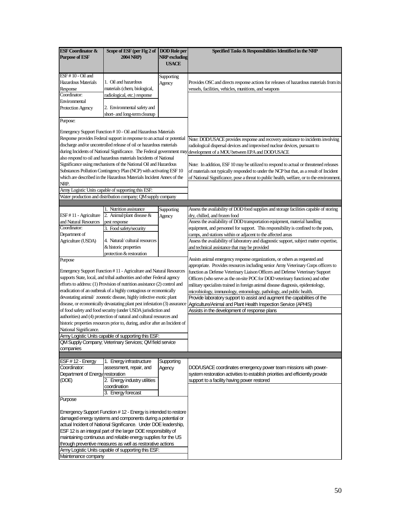| <b>ESF Coordinator &amp;</b>     | Scope of ESF (per Fig 2 of DOD Role per                                     |               | Specified Tasks & Responsibilities Identified in the NRP                                                                |
|----------------------------------|-----------------------------------------------------------------------------|---------------|-------------------------------------------------------------------------------------------------------------------------|
| <b>Purpose of ESF</b>            | <b>2004 NRP</b> )                                                           | NRP excluding |                                                                                                                         |
|                                  |                                                                             | USACE         |                                                                                                                         |
|                                  |                                                                             |               |                                                                                                                         |
| ESF #10 - Oil and                |                                                                             | Supporting    |                                                                                                                         |
| <b>Hazardous Materials</b>       | 1. Oil and hazardous                                                        | Agency        | Provides OSC and directs response actions for releases of hazardous materials from its                                  |
| Response<br>Coordinator:         | materials (chem, biological,                                                |               | vessels, facilities, vehicles, munitions, and weapons                                                                   |
| Environmental                    | radiological, etc.) response                                                |               |                                                                                                                         |
| Protection Agency                | 2. Environmental safety and                                                 |               |                                                                                                                         |
|                                  | short- and long-term cleanup                                                |               |                                                                                                                         |
| Purpose:                         |                                                                             |               |                                                                                                                         |
|                                  |                                                                             |               |                                                                                                                         |
|                                  | Emergency Support Function #10 - Oil and Hazardous Materials                |               |                                                                                                                         |
|                                  | Response provides Federal support in response to an actual or potential     |               | Note: DOD/USACE provides response and recovery assistance to incidents involving                                        |
|                                  | discharge and/or uncontrolled release of oil or hazardous materials         |               | radiological dispersal devices and improvised nuclear devices, pursuant to                                              |
|                                  | during Incidents of National Significance. The Federal government may       |               | development of a MOU between EPA and DOD/USACE                                                                          |
|                                  | also respond to oil and hazardous materials Incidents of National           |               |                                                                                                                         |
|                                  | Significance using mechanisms of the National Oil and Hazardous             |               | Note: In addition, ESF 10 may be utilized to respond to actual or threatened releases                                   |
|                                  | Substances Pollution Contingency Plan (NCP) with activating ESF 10          |               | of materials not typically responded to under the NCP but that, as a result of Incident                                 |
|                                  | which are described in the Hazardous Materials Incident Annex of the        |               | of National Significance, pose a threat to public health, welfare, or to the environment.                               |
| NRP.                             |                                                                             |               |                                                                                                                         |
|                                  | Army Logistic Units capable of supporting this ESF:                         |               |                                                                                                                         |
|                                  | Water production and distribution company; QM supply company                |               |                                                                                                                         |
|                                  |                                                                             |               |                                                                                                                         |
| ESF #11 - Agriculture            | 1. Nutrition assistance<br>2. Animal/plant disease &                        | Supporting    | Assess the availability of DOD food supplies and storage facilities capable of storing<br>dry, chilled, and frozen food |
| and Natural Resources            | pest response                                                               | Agency        | Assess the availability of DOD transportation equipment, material handling                                              |
| Coordinator:                     | 3. Food safety/security                                                     |               | equipment, and personnel for support. This responsibility is confined to the posts,                                     |
| Department of                    |                                                                             |               | camps, and stations within or adjacent to the affected areas                                                            |
| Agriculture (USDA)               | 4. Natural/cultural resources                                               |               | Assess the availability of laboratory and diagnostic support, subject matter expertise,                                 |
|                                  | & historic properties                                                       |               | and technical assistance that may be provided                                                                           |
|                                  | protection & restoration                                                    |               |                                                                                                                         |
| Purpose                          |                                                                             |               | Assists animal emergency response organizations, or others as requested and                                             |
|                                  |                                                                             |               | appropriate. Provides resources including senior Army Veterinary Corps officers to                                      |
|                                  | Emergency Support Function #11 - Agriculture and Natural Resources          |               | function as Defense Veterinary Liaison Officers and Defense Veterinary Support                                          |
|                                  | supports State, local, and tribal authorities and other Federal agency      |               | Officers (who serve as the on-site POC for DOD veterinary functions) and other                                          |
|                                  | efforts to address: (1) Provision of nutrition assistance (2) control and   |               | military specialists trained in foreign animal disease diagnosis, epidemiology,                                         |
|                                  | eradication of an outbreak of a highly contagious or economically           |               | microbiology, immunology, entomology, pathology, and public health.                                                     |
|                                  | devastating animal/ zoonotic disease, highly infective exotic plant         |               | Provide laboratory support to assist and augment the capabilities of the                                                |
|                                  | disease, or economically devastating plant pest infestation (3) assurance   |               | Agriculture/Animal and Plant Health Inspection Service (APHIS)                                                          |
|                                  | of food safety and food security (under USDA jurisdiction and               |               | Assists in the development of response plans                                                                            |
|                                  | authorities) and (4) protection of natural and cultural resources and       |               |                                                                                                                         |
|                                  | historic properties resources prior to, during, and/or after an Incident of |               |                                                                                                                         |
| National Significance.           |                                                                             |               |                                                                                                                         |
|                                  | Army Logistic Units capable of supporting this ESF:                         |               |                                                                                                                         |
|                                  | QM Supply Company; Veterinary Services; QM field service                    |               |                                                                                                                         |
| companies                        |                                                                             |               |                                                                                                                         |
| $EST # 12 - Energy$              | 1. Energy infrastructure                                                    | Supporting    |                                                                                                                         |
| Coordinator:                     | assessment, repair, and                                                     | Agency        | DOD/USACE coordinates emergency power team missions with power-                                                         |
| Department of Energy restoration |                                                                             |               | system restoration activities to establish priorities and efficiently provide                                           |
| (DOE)                            | 2. Energy industry utilities                                                |               | support to a facility having power restored                                                                             |
|                                  | coordination                                                                |               |                                                                                                                         |
|                                  | 3. Energy forecast                                                          |               |                                                                                                                         |
| Purpose                          |                                                                             |               |                                                                                                                         |
|                                  |                                                                             |               |                                                                                                                         |
|                                  | Emergency Support Function # 12 - Energy is intended to restore             |               |                                                                                                                         |
|                                  | damaged energy systems and components during a potential or                 |               |                                                                                                                         |
|                                  | actual Incident of National Significance. Under DOE leadership,             |               |                                                                                                                         |
|                                  | ESF 12 is an integral part of the larger DOE responsibility of              |               |                                                                                                                         |
|                                  | maintaining continuous and reliable energy supplies for the US              |               |                                                                                                                         |
|                                  | through preventive measures as well as restorative actions                  |               |                                                                                                                         |
|                                  | Army Logistic Units capable of supporting this ESF:                         |               |                                                                                                                         |
| Maintenance company              |                                                                             |               |                                                                                                                         |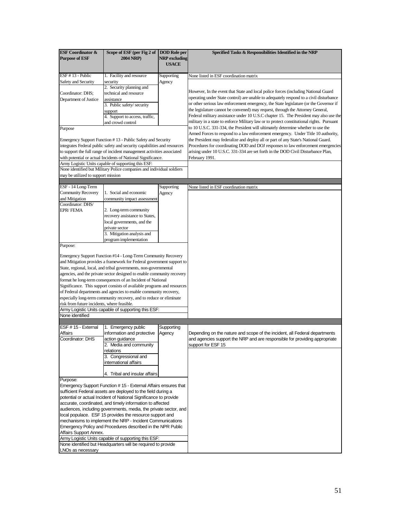| <b>ESF Coordinator &amp;</b>                                                                                                          | Scope of ESF (per Fig 2 of DOD Role per            |                                      | Specified Tasks & Responsibilities Identified in the NRP                                                                                                 |
|---------------------------------------------------------------------------------------------------------------------------------------|----------------------------------------------------|--------------------------------------|----------------------------------------------------------------------------------------------------------------------------------------------------------|
| <b>Purpose of ESF</b>                                                                                                                 | 2004 NRP)                                          | <b>NRP</b> excluding<br><b>USACE</b> |                                                                                                                                                          |
|                                                                                                                                       |                                                    |                                      |                                                                                                                                                          |
| ESF #13 - Public                                                                                                                      | 1. Facility and resource                           | Supporting                           | None listed in ESF coordination matrix                                                                                                                   |
| Safety and Security                                                                                                                   | security                                           | Agency                               |                                                                                                                                                          |
|                                                                                                                                       | 2. Security planning and<br>technical and resource |                                      | However, In the event that State and local police forces (including National Guard                                                                       |
| Coordinator: DHS;<br>Department of Justice                                                                                            | assistance                                         |                                      | operating under State control) are unable to adequately respond to a civil disturbance                                                                   |
|                                                                                                                                       | 3. Public safety/ security                         |                                      | or other serious law enforcement emergency, the State legislature (or the Governor if                                                                    |
|                                                                                                                                       | support                                            |                                      | the legislature cannot be convened) may request, through the Attorney General,                                                                           |
|                                                                                                                                       | 4. Support to access, traffic,                     |                                      | Federal military assistance under 10 U.S.C chapter 15. The President may also use the                                                                    |
|                                                                                                                                       | and crowd control                                  |                                      | military in a state to enforce Military law or to protect constitutional rights. Pursuant                                                                |
| Purpose                                                                                                                               |                                                    |                                      | to 10 U.S.C. 331-334, the President will ultimately determine whether to use the                                                                         |
|                                                                                                                                       |                                                    |                                      | Armed Forces to respond to a law enforcement emergency. Under Title 10 authority,                                                                        |
| Emergency Support Function #13 - Public Safety and Security                                                                           |                                                    |                                      | the President may federalize and deploy all or part of any State's National Guard.                                                                       |
| integrates Federal public safety and security capabilities and resources                                                              |                                                    |                                      | Procedures for coordinating DOD and DOJ responses to law enforcement emergencies                                                                         |
| to support the full range of incident management activities associated                                                                |                                                    |                                      | arising under 10 U.S.C. 331-334 are set forth in the DOD Civil Disturbance Plan,                                                                         |
| with potential or actual Incidents of National Significance.<br>Army Logistic Units capable of supporting this ESF:                   |                                                    |                                      | February 1991.                                                                                                                                           |
| None identified but Military Police companies and individual soldiers                                                                 |                                                    |                                      |                                                                                                                                                          |
| may be utilized to support mission                                                                                                    |                                                    |                                      |                                                                                                                                                          |
|                                                                                                                                       |                                                    |                                      |                                                                                                                                                          |
| ESF - 14 Long-Term                                                                                                                    |                                                    | Supporting                           | None listed in ESF coordination matrix                                                                                                                   |
| <b>Community Recovery</b>                                                                                                             | 1. Social and economic                             | Agency                               |                                                                                                                                                          |
| and Mitigation                                                                                                                        | community impact assessment                        |                                      |                                                                                                                                                          |
| Coordinator: DHS/                                                                                                                     | 2. Long-term community                             |                                      |                                                                                                                                                          |
| <b>EPR/FEMA</b>                                                                                                                       | recovery assistance to States,                     |                                      |                                                                                                                                                          |
|                                                                                                                                       | local governments, and the                         |                                      |                                                                                                                                                          |
|                                                                                                                                       | private sector                                     |                                      |                                                                                                                                                          |
|                                                                                                                                       | 3. Mitigation analysis and                         |                                      |                                                                                                                                                          |
|                                                                                                                                       | program implementation                             |                                      |                                                                                                                                                          |
| Purpose:                                                                                                                              |                                                    |                                      |                                                                                                                                                          |
|                                                                                                                                       |                                                    |                                      |                                                                                                                                                          |
| Emergency Support Function #14 - Long-Term Community Recovery                                                                         |                                                    |                                      |                                                                                                                                                          |
| and Mitigation provides a framework for Federal government support to                                                                 |                                                    |                                      |                                                                                                                                                          |
| State, regional, local, and tribal governments, non-governmental                                                                      |                                                    |                                      |                                                                                                                                                          |
| agencies, and the private sector designed to enable community recovery<br>format he long-term consequences of an Incident of National |                                                    |                                      |                                                                                                                                                          |
| Significance. This support consists of available programs and resources                                                               |                                                    |                                      |                                                                                                                                                          |
| of Federal departments and agencies to enable community recovery,                                                                     |                                                    |                                      |                                                                                                                                                          |
| especially long-term community recovery, and to reduce or eliminate                                                                   |                                                    |                                      |                                                                                                                                                          |
| risk from future incidents, where feasible.                                                                                           |                                                    |                                      |                                                                                                                                                          |
| Army Logistic Units capable of supporting this ESF:                                                                                   |                                                    |                                      |                                                                                                                                                          |
| None identified                                                                                                                       |                                                    |                                      |                                                                                                                                                          |
|                                                                                                                                       |                                                    |                                      |                                                                                                                                                          |
| ESF #15 - External                                                                                                                    | 1. Emergency public                                | Supporting                           |                                                                                                                                                          |
| <b>Affairs</b><br>Coordinator: DHS                                                                                                    | information and protective                         | Agency                               | Depending on the nature and scope of the incident, all Federal departments<br>and agencies support the NRP and are responsible for providing appropriate |
|                                                                                                                                       | action guidance                                    |                                      |                                                                                                                                                          |
|                                                                                                                                       | 2. Media and community<br>relations                |                                      | support for ESF 15                                                                                                                                       |
|                                                                                                                                       | 3. Congressional and                               |                                      |                                                                                                                                                          |
|                                                                                                                                       | international affairs                              |                                      |                                                                                                                                                          |
|                                                                                                                                       |                                                    |                                      |                                                                                                                                                          |
|                                                                                                                                       | 4. Tribal and insular affairs                      |                                      |                                                                                                                                                          |
| Purpose:                                                                                                                              |                                                    |                                      |                                                                                                                                                          |
| Emergency Support Function #15 - External Affairs ensures that                                                                        |                                                    |                                      |                                                                                                                                                          |
| sufficient Federal assets are deployed to the field during a                                                                          |                                                    |                                      |                                                                                                                                                          |
| potential or actual Incident of National Significance to provide<br>accurate, coordinated, and timely information to affected         |                                                    |                                      |                                                                                                                                                          |
| audiences, including governments, media, the private sector, and                                                                      |                                                    |                                      |                                                                                                                                                          |
| local populace. ESF 15 provides the resource support and                                                                              |                                                    |                                      |                                                                                                                                                          |
| mechanisms to implement the NRP - Incident Communications                                                                             |                                                    |                                      |                                                                                                                                                          |
| Emergency Policy and Procedures described in the NPR Public                                                                           |                                                    |                                      |                                                                                                                                                          |
| Affairs Support Annex.                                                                                                                |                                                    |                                      |                                                                                                                                                          |
| Army Logistic Units capable of supporting this ESF:                                                                                   |                                                    |                                      |                                                                                                                                                          |
| None identified but Headquarters will be required to provide                                                                          |                                                    |                                      |                                                                                                                                                          |
| LNOs as necessary                                                                                                                     |                                                    |                                      |                                                                                                                                                          |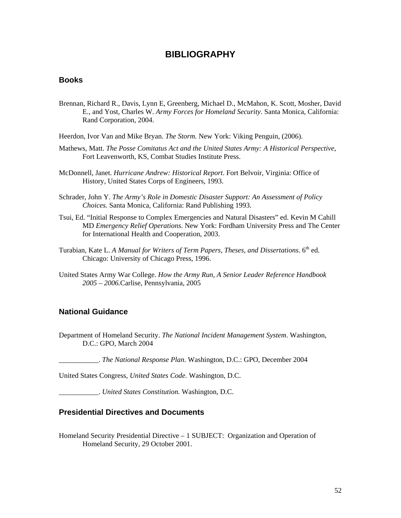## **BIBLIOGRAPHY**

#### <span id="page-57-0"></span>**Books**

- Brennan, Richard R., Davis, Lynn E, Greenberg, Michael D., McMahon, K. Scott, Mosher, David E., and Yost, Charles W. *Army Forces for Homeland Security*. Santa Monica, California: Rand Corporation, 2004.
- Heerdon, Ivor Van and Mike Bryan. *The Storm.* New York: Viking Penguin, (2006).
- Mathews, Matt. *The Posse Comitatus Act and the United States Army: A Historical Perspective*, Fort Leavenworth, KS, Combat Studies Institute Press.
- McDonnell, Janet. *Hurricane Andrew: Historical Report*. Fort Belvoir, Virginia: Office of History, United States Corps of Engineers, 1993.
- Schrader, John Y. *The Army's Role in Domestic Disaster Support: An Assessment of Policy Choices.* Santa Monica, California: Rand Publishing 1993.
- Tsui, Ed. "Initial Response to Complex Emergencies and Natural Disasters" ed. Kevin M Cahill MD *Emergency Relief Operations*. New York: Fordham University Press and The Center for International Health and Cooperation, 2003.
- Turabian, Kate L. *A Manual for Writers of Term Papers, Theses, and Dissertations.* 6<sup>th</sup> ed. Chicago: University of Chicago Press, 1996.
- United States Army War College. *How the Army Run, A Senior Leader Reference Handbook 2005 – 2006.*Carlise, Pennsylvania, 2005

#### **National Guidance**

Department of Homeland Security. *The National Incident Management System*. Washington, D.C.: GPO, March 2004

\_\_\_\_\_\_\_\_\_\_\_. *The National Response Plan*. Washington, D.C.: GPO, December 2004

United States Congress, *United States Code.* Washington, D.C.

\_\_\_\_\_\_\_\_\_\_\_. *United States Constitution.* Washington, D.C.

#### **Presidential Directives and Documents**

Homeland Security Presidential Directive – 1 SUBJECT: Organization and Operation of Homeland Security, 29 October 2001.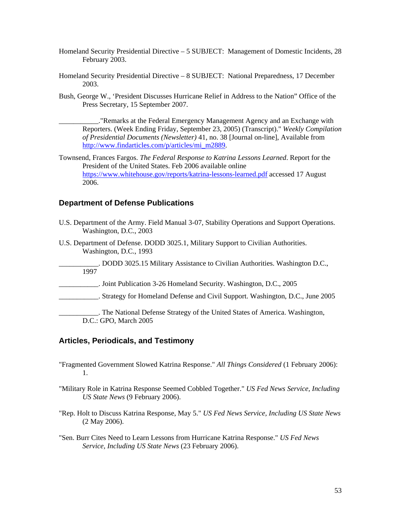- <span id="page-58-0"></span>Homeland Security Presidential Directive – 5 SUBJECT: Management of Domestic Incidents, 28 February 2003.
- Homeland Security Presidential Directive 8 SUBJECT: National Preparedness, 17 December 2003.
- Bush, George W., 'President Discusses Hurricane Relief in Address to the Nation" Office of the Press Secretary, 15 September 2007.

\_\_\_\_\_\_\_\_\_\_\_."Remarks at the Federal Emergency Management Agency and an Exchange with Reporters. (Week Ending Friday, September 23, 2005) (Transcript)." *Weekly Compilation of Presidential Documents (Newsletter)* 41, no. 38 [Journal on-line], Available from [http://www.findarticles.com/p/articles/mi\\_m2889](http://www.findarticles.com/p/articles/mi_m2889).

Townsend, Frances Fargos. *The Federal Response to Katrina Lessons Learned*. Report for the President of the United States. Feb 2006 available online <https://www.whitehouse.gov/reports/katrina-lessons-learned.pdf>accessed 17 August 2006.

#### **Department of Defense Publications**

- U.S. Department of the Army. Field Manual 3-07, Stability Operations and Support Operations. Washington, D.C., 2003
- U.S. Department of Defense. DODD 3025.1, Military Support to Civilian Authorities. Washington, D.C., 1993

\_\_\_\_\_\_\_\_\_\_\_. DODD 3025.15 Military Assistance to Civilian Authorities. Washington D.C., 1997

- \_\_\_\_\_\_\_\_\_\_\_. Joint Publication 3-26 Homeland Security. Washington, D.C., 2005
- \_\_\_\_\_\_\_\_\_\_\_. Strategy for Homeland Defense and Civil Support. Washington, D.C., June 2005

\_\_\_\_\_\_\_\_\_\_\_. The National Defense Strategy of the United States of America. Washington, D.C.: GPO, March 2005

#### **Articles, Periodicals, and Testimony**

- "Fragmented Government Slowed Katrina Response." *All Things Considered* (1 February 2006): 1.
- "Military Role in Katrina Response Seemed Cobbled Together." *US Fed News Service, Including US State News* (9 February 2006).
- "Rep. Holt to Discuss Katrina Response, May 5." *US Fed News Service, Including US State News* (2 May 2006).
- "Sen. Burr Cites Need to Learn Lessons from Hurricane Katrina Response." *US Fed News Service, Including US State News* (23 February 2006).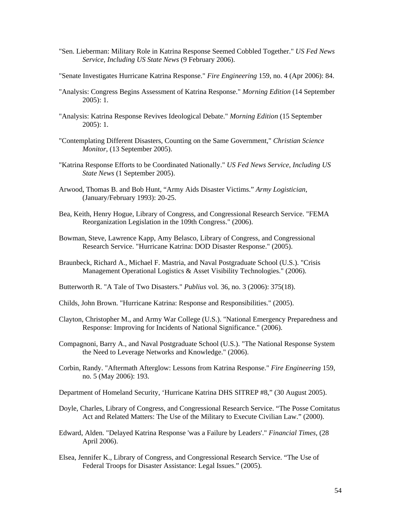- "Sen. Lieberman: Military Role in Katrina Response Seemed Cobbled Together." *US Fed News Service, Including US State News* (9 February 2006).
- "Senate Investigates Hurricane Katrina Response." *Fire Engineering* 159, no. 4 (Apr 2006): 84.
- "Analysis: Congress Begins Assessment of Katrina Response." *Morning Edition* (14 September 2005): 1.
- "Analysis: Katrina Response Revives Ideological Debate." *Morning Edition* (15 September 2005): 1.
- "Contemplating Different Disasters, Counting on the Same Government," *Christian Science Monitor,* (13 September 2005).
- "Katrina Response Efforts to be Coordinated Nationally." *US Fed News Service, Including US State News* (1 September 2005).
- Arwood, Thomas B. and Bob Hunt, "Army Aids Disaster Victims." *Army Logistician*, (January/February 1993): 20-25.
- Bea, Keith, Henry Hogue, Library of Congress, and Congressional Research Service. "FEMA Reorganization Legislation in the 109th Congress." (2006).
- Bowman, Steve, Lawrence Kapp, Amy Belasco, Library of Congress, and Congressional Research Service. "Hurricane Katrina: DOD Disaster Response." (2005).
- Braunbeck, Richard A., Michael F. Mastria, and Naval Postgraduate School (U.S.). "Crisis Management Operational Logistics & Asset Visibility Technologies." (2006).
- Butterworth R. "A Tale of Two Disasters." *Publius* vol*.* 36, no. 3 (2006): 375(18).
- Childs, John Brown. "Hurricane Katrina: Response and Responsibilities." (2005).
- Clayton, Christopher M., and Army War College (U.S.). "National Emergency Preparedness and Response: Improving for Incidents of National Significance." (2006).
- Compagnoni, Barry A., and Naval Postgraduate School (U.S.). "The National Response System the Need to Leverage Networks and Knowledge." (2006).
- Corbin, Randy. "Aftermath Afterglow: Lessons from Katrina Response." *Fire Engineering* 159, no. 5 (May 2006): 193.
- Department of Homeland Security, 'Hurricane Katrina DHS SITREP #8," (30 August 2005).
- Doyle, Charles, Library of Congress, and Congressional Research Service. "The Posse Comitatus Act and Related Matters: The Use of the Military to Execute Civilian Law." (2000).
- Edward, Alden. "Delayed Katrina Response 'was a Failure by Leaders'." *Financial Times,* (28 April 2006).
- Elsea, Jennifer K., Library of Congress, and Congressional Research Service. "The Use of Federal Troops for Disaster Assistance: Legal Issues." (2005).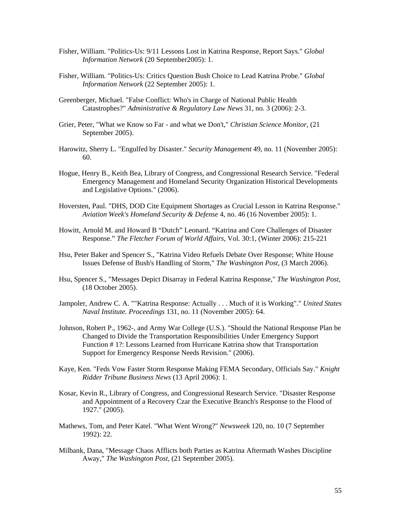- Fisher, William. "Politics-Us: 9/11 Lessons Lost in Katrina Response, Report Says." *Global Information Network* (20 September2005): 1.
- Fisher, William. "Politics-Us: Critics Question Bush Choice to Lead Katrina Probe." *Global Information Network* (22 September 2005): 1.
- Greenberger, Michael. "False Conflict: Who's in Charge of National Public Health Catastrophes?" *Administrative & Regulatory Law News* 31, no. 3 (2006): 2-3.
- Grier, Peter, "What we Know so Far and what we Don't," *Christian Science Monitor,* (21 September 2005).
- Harowitz, Sherry L. "Engulfed by Disaster." *Security Management* 49, no. 11 (November 2005): 60.
- Hogue, Henry B., Keith Bea, Library of Congress, and Congressional Research Service. "Federal Emergency Management and Homeland Security Organization Historical Developments and Legislative Options." (2006).
- Hoversten, Paul. "DHS, DOD Cite Equipment Shortages as Crucial Lesson in Katrina Response." *Aviation Week's Homeland Security & Defense* 4, no. 46 (16 November 2005): 1.
- Howitt, Arnold M. and Howard B "Dutch" Leonard. "Katrina and Core Challenges of Disaster Response." *The Fletcher Forum of World Affairs*, Vol. 30:1, (Winter 2006): 215-221
- Hsu, Peter Baker and Spencer S., "Katrina Video Refuels Debate Over Response; White House Issues Defense of Bush's Handling of Storm," *The Washington Post,* (3 March 2006).
- Hsu, Spencer S., "Messages Depict Disarray in Federal Katrina Response," *The Washington Post,*  (18 October 2005).
- Jampoler, Andrew C. A. ""Katrina Response: Actually . . . Much of it is Working"." *United States Naval Institute. Proceedings* 131, no. 11 (November 2005): 64.
- Johnson, Robert P., 1962-, and Army War College (U.S.). "Should the National Response Plan be Changed to Divide the Transportation Responsibilities Under Emergency Support Function # 1?: Lessons Learned from Hurricane Katrina show that Transportation Support for Emergency Response Needs Revision." (2006).
- Kaye, Ken. "Feds Vow Faster Storm Response Making FEMA Secondary, Officials Say." *Knight Ridder Tribune Business News* (13 April 2006): 1.
- Kosar, Kevin R., Library of Congress, and Congressional Research Service. "Disaster Response and Appointment of a Recovery Czar the Executive Branch's Response to the Flood of 1927." (2005).
- Mathews, Tom, and Peter Katel. "What Went Wrong?" *Newsweek* 120, no. 10 (7 September 1992): 22.
- Milbank, Dana, "Message Chaos Afflicts both Parties as Katrina Aftermath Washes Discipline Away," *The Washington Post,* (21 September 2005).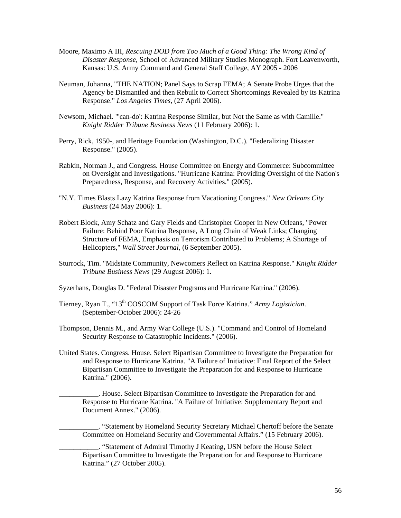- Moore, Maximo A III, *Rescuing DOD from Too Much of a Good Thing: The Wrong Kind of Disaster Response*, School of Advanced Military Studies Monograph. Fort Leavenworth, Kansas: U.S. Army Command and General Staff College, AY 2005 - 2006
- Neuman, Johanna, "THE NATION; Panel Says to Scrap FEMA; A Senate Probe Urges that the Agency be Dismantled and then Rebuilt to Correct Shortcomings Revealed by its Katrina Response." *Los Angeles Times,* (27 April 2006).
- Newsom, Michael. "'can-do': Katrina Response Similar, but Not the Same as with Camille." *Knight Ridder Tribune Business News* (11 February 2006): 1.
- Perry, Rick, 1950-, and Heritage Foundation (Washington, D.C.). "Federalizing Disaster Response." (2005).
- Rabkin, Norman J., and Congress. House Committee on Energy and Commerce: Subcommittee on Oversight and Investigations. "Hurricane Katrina: Providing Oversight of the Nation's Preparedness, Response, and Recovery Activities." (2005).
- "N.Y. Times Blasts Lazy Katrina Response from Vacationing Congress." *New Orleans City Business* (24 May 2006): 1.
- Robert Block, Amy Schatz and Gary Fields and Christopher Cooper in New Orleans, "Power Failure: Behind Poor Katrina Response, A Long Chain of Weak Links; Changing Structure of FEMA, Emphasis on Terrorism Contributed to Problems; A Shortage of Helicopters," *Wall Street Journal,* (6 September 2005).
- Sturrock, Tim. "Midstate Community, Newcomers Reflect on Katrina Response." *Knight Ridder Tribune Business News* (29 August 2006): 1.
- Syzerhans, Douglas D. "Federal Disaster Programs and Hurricane Katrina." (2006).
- Tierney, Ryan T., "13th COSCOM Support of Task Force Katrina." *Army Logistician*. (September-October 2006): 24-26
- Thompson, Dennis M., and Army War College (U.S.). "Command and Control of Homeland Security Response to Catastrophic Incidents." (2006).
- United States. Congress. House. Select Bipartisan Committee to Investigate the Preparation for and Response to Hurricane Katrina. "A Failure of Initiative: Final Report of the Select Bipartisan Committee to Investigate the Preparation for and Response to Hurricane Katrina." (2006).

\_\_\_\_\_\_\_\_\_\_\_. House. Select Bipartisan Committee to Investigate the Preparation for and Response to Hurricane Katrina. "A Failure of Initiative: Supplementary Report and Document Annex." (2006).

\_\_\_\_\_\_\_\_\_\_\_. "Statement by Homeland Security Secretary Michael Chertoff before the Senate Committee on Homeland Security and Governmental Affairs." (15 February 2006).

\_\_\_\_\_\_\_\_\_\_\_. "Statement of Admiral Timothy J Keating, USN before the House Select Bipartisan Committee to Investigate the Preparation for and Response to Hurricane Katrina." (27 October 2005).